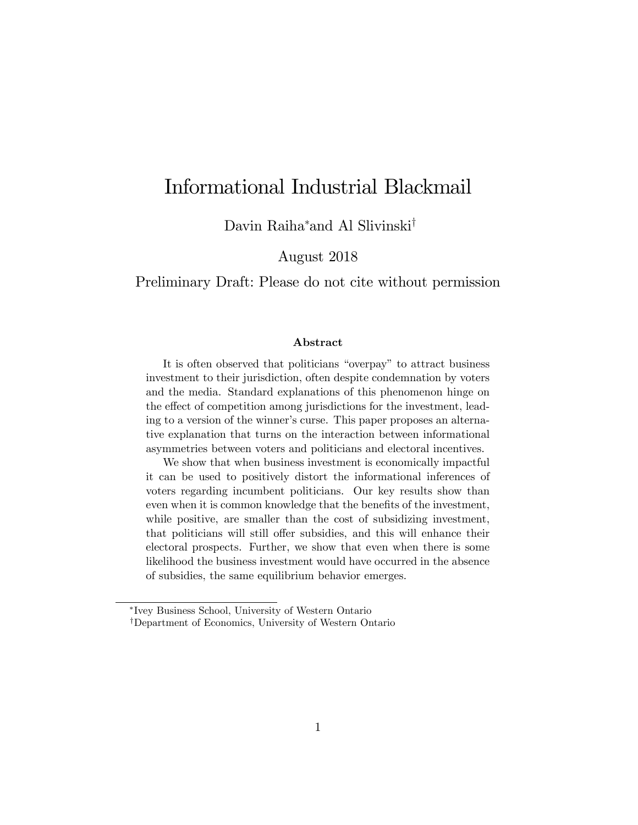# Informational Industrial Blackmail

Davin Raiha\*and Al Slivinski $^\dagger$ 

August 2018

Preliminary Draft: Please do not cite without permission

#### Abstract

It is often observed that politicians "overpay" to attract business investment to their jurisdiction, often despite condemnation by voters and the media. Standard explanations of this phenomenon hinge on the effect of competition among jurisdictions for the investment, leading to a version of the winner's curse. This paper proposes an alternative explanation that turns on the interaction between informational asymmetries between voters and politicians and electoral incentives.

We show that when business investment is economically impactful it can be used to positively distort the informational inferences of voters regarding incumbent politicians. Our key results show than even when it is common knowledge that the benefits of the investment, while positive, are smaller than the cost of subsidizing investment, that politicians will still offer subsidies, and this will enhance their electoral prospects. Further, we show that even when there is some likelihood the business investment would have occurred in the absence of subsidies, the same equilibrium behavior emerges.

Ivey Business School, University of Western Ontario

<sup>&</sup>lt;sup>†</sup>Department of Economics, University of Western Ontario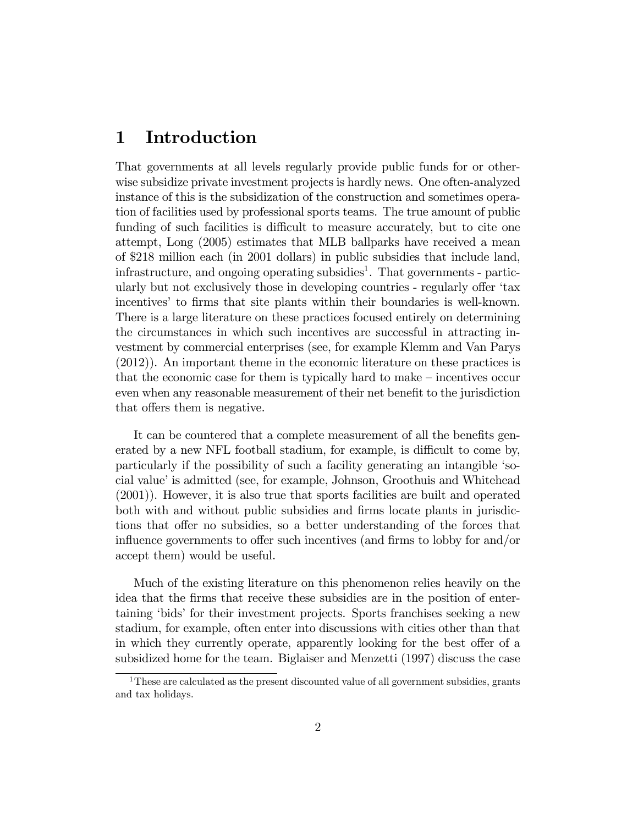## 1 Introduction

That governments at all levels regularly provide public funds for or otherwise subsidize private investment projects is hardly news. One often-analyzed instance of this is the subsidization of the construction and sometimes operation of facilities used by professional sports teams. The true amount of public funding of such facilities is difficult to measure accurately, but to cite one attempt, Long (2005) estimates that MLB ballparks have received a mean of \$218 million each (in 2001 dollars) in public subsidies that include land, infrastructure, and ongoing operating subsidies<sup>1</sup>. That governments - particularly but not exclusively those in developing countries - regularly offer 'tax incentives' to firms that site plants within their boundaries is well-known. There is a large literature on these practices focused entirely on determining the circumstances in which such incentives are successful in attracting investment by commercial enterprises (see, for example Klemm and Van Parys (2012)). An important theme in the economic literature on these practices is that the economic case for them is typically hard to make  $-$  incentives occur even when any reasonable measurement of their net benefit to the jurisdiction that offers them is negative.

It can be countered that a complete measurement of all the benefits generated by a new NFL football stadium, for example, is difficult to come by, particularly if the possibility of such a facility generating an intangible ësocial value' is admitted (see, for example, Johnson, Groothuis and Whitehead (2001)). However, it is also true that sports facilities are built and operated both with and without public subsidies and firms locate plants in jurisdictions that offer no subsidies, so a better understanding of the forces that influence governments to offer such incentives (and firms to lobby for and/or accept them) would be useful.

Much of the existing literature on this phenomenon relies heavily on the idea that the firms that receive these subsidies are in the position of entertaining 'bids' for their investment projects. Sports franchises seeking a new stadium, for example, often enter into discussions with cities other than that in which they currently operate, apparently looking for the best offer of a subsidized home for the team. Biglaiser and Menzetti (1997) discuss the case

<sup>&</sup>lt;sup>1</sup>These are calculated as the present discounted value of all government subsidies, grants and tax holidays.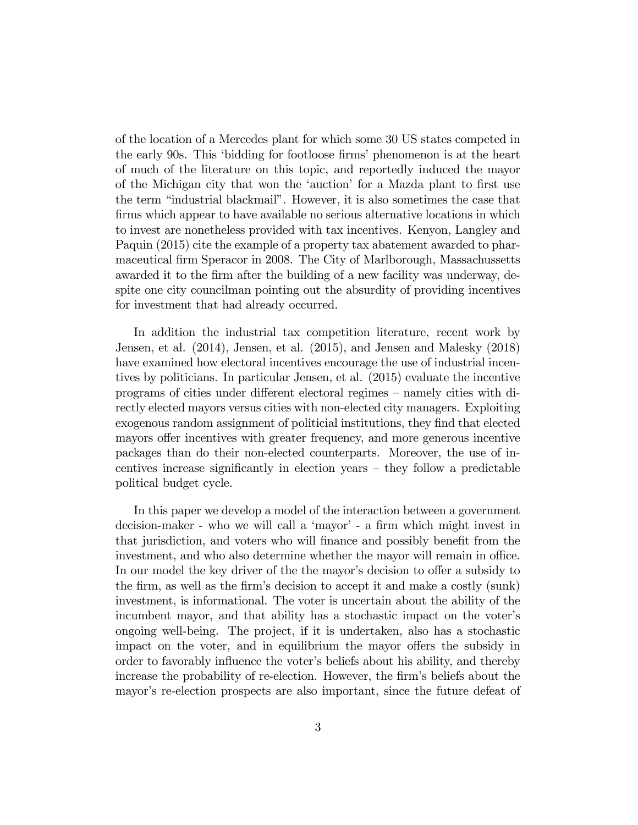of the location of a Mercedes plant for which some 30 US states competed in the early 90s. This 'bidding for footloose firms' phenomenon is at the heart of much of the literature on this topic, and reportedly induced the mayor of the Michigan city that won the 'auction' for a Mazda plant to first use the term "industrial blackmail". However, it is also sometimes the case that firms which appear to have available no serious alternative locations in which to invest are nonetheless provided with tax incentives. Kenyon, Langley and Paquin (2015) cite the example of a property tax abatement awarded to pharmaceutical Örm Speracor in 2008. The City of Marlborough, Massachussetts awarded it to the firm after the building of a new facility was underway, despite one city councilman pointing out the absurdity of providing incentives for investment that had already occurred.

In addition the industrial tax competition literature, recent work by Jensen, et al. (2014), Jensen, et al. (2015), and Jensen and Malesky (2018) have examined how electoral incentives encourage the use of industrial incentives by politicians. In particular Jensen, et al. (2015) evaluate the incentive programs of cities under different electoral regimes – namely cities with directly elected mayors versus cities with non-elected city managers. Exploiting exogenous random assignment of politicial institutions, they find that elected mayors offer incentives with greater frequency, and more generous incentive packages than do their non-elected counterparts. Moreover, the use of incentives increase significantly in election years  $-$  they follow a predictable political budget cycle.

In this paper we develop a model of the interaction between a government decision-maker - who we will call a 'mayor' - a firm which might invest in that jurisdiction, and voters who will finance and possibly benefit from the investment, and who also determine whether the mayor will remain in office. In our model the key driver of the the mayor's decision to offer a subsidy to the firm, as well as the firm's decision to accept it and make a costly (sunk) investment, is informational. The voter is uncertain about the ability of the incumbent mayor, and that ability has a stochastic impact on the voter's ongoing well-being. The project, if it is undertaken, also has a stochastic impact on the voter, and in equilibrium the mayor offers the subsidy in order to favorably influence the voter's beliefs about his ability, and thereby increase the probability of re-election. However, the firm's beliefs about the mayor's re-election prospects are also important, since the future defeat of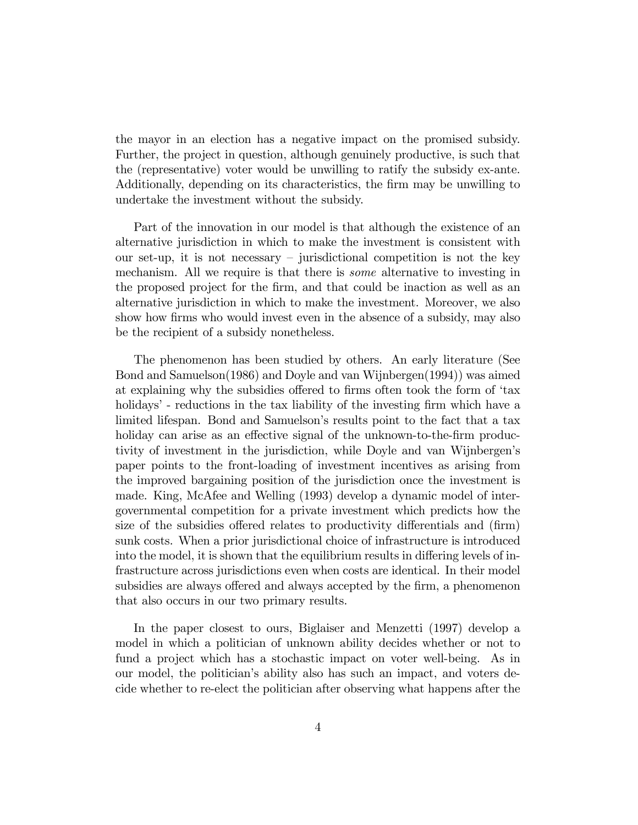the mayor in an election has a negative impact on the promised subsidy. Further, the project in question, although genuinely productive, is such that the (representative) voter would be unwilling to ratify the subsidy ex-ante. Additionally, depending on its characteristics, the firm may be unwilling to undertake the investment without the subsidy.

Part of the innovation in our model is that although the existence of an alternative jurisdiction in which to make the investment is consistent with our set-up, it is not necessary  $\overline{\phantom{a}}$  jurisdictional competition is not the key mechanism. All we require is that there is *some* alternative to investing in the proposed project for the Örm, and that could be inaction as well as an alternative jurisdiction in which to make the investment. Moreover, we also show how firms who would invest even in the absence of a subsidy, may also be the recipient of a subsidy nonetheless.

The phenomenon has been studied by others. An early literature (See Bond and Samuelson(1986) and Doyle and van Wijnbergen(1994)) was aimed at explaining why the subsidies offered to firms often took the form of 'tax holidays' - reductions in the tax liability of the investing firm which have a limited lifespan. Bond and Samuelson's results point to the fact that a tax holiday can arise as an effective signal of the unknown-to-the-firm productivity of investment in the jurisdiction, while Doyle and van Wijnbergen's paper points to the front-loading of investment incentives as arising from the improved bargaining position of the jurisdiction once the investment is made. King, McAfee and Welling (1993) develop a dynamic model of intergovernmental competition for a private investment which predicts how the size of the subsidies offered relates to productivity differentials and (firm) sunk costs. When a prior jurisdictional choice of infrastructure is introduced into the model, it is shown that the equilibrium results in differing levels of infrastructure across jurisdictions even when costs are identical. In their model subsidies are always offered and always accepted by the firm, a phenomenon that also occurs in our two primary results.

In the paper closest to ours, Biglaiser and Menzetti (1997) develop a model in which a politician of unknown ability decides whether or not to fund a project which has a stochastic impact on voter well-being. As in our model, the politicianís ability also has such an impact, and voters decide whether to re-elect the politician after observing what happens after the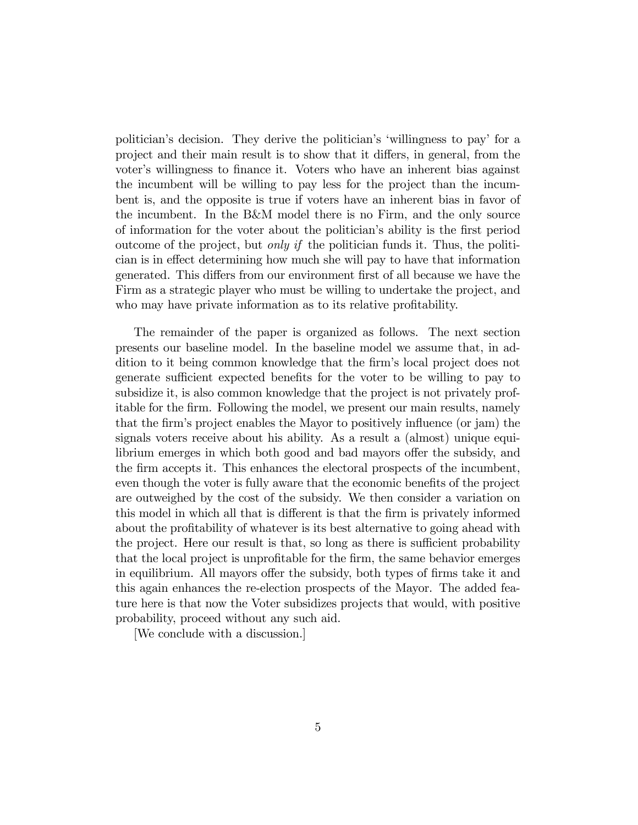politicianís decision. They derive the politicianís ëwillingness to payí for a project and their main result is to show that it differs, in general, from the voter's willingness to finance it. Voters who have an inherent bias against the incumbent will be willing to pay less for the project than the incumbent is, and the opposite is true if voters have an inherent bias in favor of the incumbent. In the B&M model there is no Firm, and the only source of information for the voter about the politicianís ability is the Örst period outcome of the project, but *only if* the politician funds it. Thus, the politician is in effect determining how much she will pay to have that information generated. This differs from our environment first of all because we have the Firm as a strategic player who must be willing to undertake the project, and who may have private information as to its relative profitability.

The remainder of the paper is organized as follows. The next section presents our baseline model. In the baseline model we assume that, in addition to it being common knowledge that the Örmís local project does not generate sufficient expected benefits for the voter to be willing to pay to subsidize it, is also common knowledge that the project is not privately profitable for the firm. Following the model, we present our main results, namely that the firm's project enables the Mayor to positively influence (or jam) the signals voters receive about his ability. As a result a (almost) unique equilibrium emerges in which both good and bad mayors offer the subsidy, and the Örm accepts it. This enhances the electoral prospects of the incumbent, even though the voter is fully aware that the economic benefits of the project are outweighed by the cost of the subsidy. We then consider a variation on this model in which all that is different is that the firm is privately informed about the profitability of whatever is its best alternative to going ahead with the project. Here our result is that, so long as there is sufficient probability that the local project is unprofitable for the firm, the same behavior emerges in equilibrium. All mayors offer the subsidy, both types of firms take it and this again enhances the re-election prospects of the Mayor. The added feature here is that now the Voter subsidizes projects that would, with positive probability, proceed without any such aid.

[We conclude with a discussion.]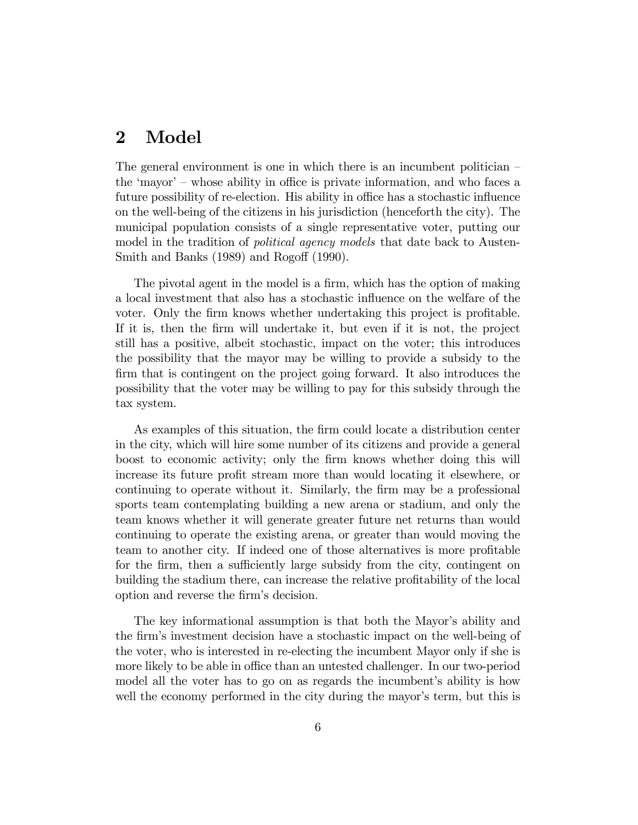## 2 Model

The general environment is one in which there is an incumbent politician  $\overline{\phantom{a}}$ the 'mayor'  $-$  whose ability in office is private information, and who faces a future possibility of re-election. His ability in office has a stochastic influence on the well-being of the citizens in his jurisdiction (henceforth the city). The municipal population consists of a single representative voter, putting our model in the tradition of *political agency models* that date back to Austen-Smith and Banks  $(1989)$  and Rogoff  $(1990)$ .

The pivotal agent in the model is a firm, which has the option of making a local investment that also has a stochastic ináuence on the welfare of the voter. Only the firm knows whether undertaking this project is profitable. If it is, then the Örm will undertake it, but even if it is not, the project still has a positive, albeit stochastic, impact on the voter; this introduces the possibility that the mayor may be willing to provide a subsidy to the firm that is contingent on the project going forward. It also introduces the possibility that the voter may be willing to pay for this subsidy through the tax system.

As examples of this situation, the firm could locate a distribution center in the city, which will hire some number of its citizens and provide a general boost to economic activity; only the Örm knows whether doing this will increase its future profit stream more than would locating it elsewhere, or continuing to operate without it. Similarly, the firm may be a professional sports team contemplating building a new arena or stadium, and only the team knows whether it will generate greater future net returns than would continuing to operate the existing arena, or greater than would moving the team to another city. If indeed one of those alternatives is more profitable for the firm, then a sufficiently large subsidy from the city, contingent on building the stadium there, can increase the relative profitability of the local option and reverse the firm's decision.

The key informational assumption is that both the Mayor's ability and the Örmís investment decision have a stochastic impact on the well-being of the voter, who is interested in re-electing the incumbent Mayor only if she is more likely to be able in office than an untested challenger. In our two-period model all the voter has to go on as regards the incumbent's ability is how well the economy performed in the city during the mayor's term, but this is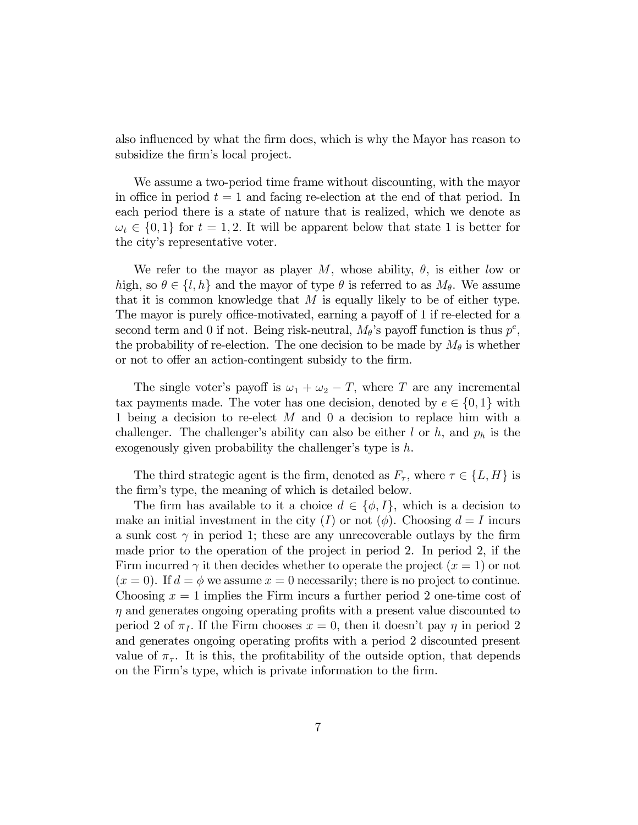also influenced by what the firm does, which is why the Mayor has reason to subsidize the firm's local project.

We assume a two-period time frame without discounting, with the mayor in office in period  $t = 1$  and facing re-election at the end of that period. In each period there is a state of nature that is realized, which we denote as  $\omega_t \in \{0, 1\}$  for  $t = 1, 2$ . It will be apparent below that state 1 is better for the city's representative voter.

We refer to the mayor as player M, whose ability,  $\theta$ , is either low or high, so  $\theta \in \{l, h\}$  and the mayor of type  $\theta$  is referred to as  $M_{\theta}$ . We assume that it is common knowledge that  $M$  is equally likely to be of either type. The mayor is purely office-motivated, earning a payoff of 1 if re-elected for a second term and 0 if not. Being risk-neutral,  $M_{\theta}$ 's payoff function is thus  $p^e$ , the probability of re-election. The one decision to be made by  $M_{\theta}$  is whether or not to offer an action-contingent subsidy to the firm.

The single voter's payoff is  $\omega_1 + \omega_2 - T$ , where T are any incremental tax payments made. The voter has one decision, denoted by  $e \in \{0, 1\}$  with 1 being a decision to re-elect M and 0 a decision to replace him with a challenger. The challenger's ability can also be either  $l$  or  $h$ , and  $p_h$  is the exogenously given probability the challenger's type is  $h$ .

The third strategic agent is the firm, denoted as  $F_{\tau}$ , where  $\tau \in \{L, H\}$  is the firm's type, the meaning of which is detailed below.

The firm has available to it a choice  $d \in \{\phi, I\}$ , which is a decision to make an initial investment in the city (I) or not ( $\phi$ ). Choosing  $d = I$  incurs a sunk cost  $\gamma$  in period 1; these are any unrecoverable outlays by the firm made prior to the operation of the project in period 2. In period 2, if the Firm incurred  $\gamma$  it then decides whether to operate the project  $(x = 1)$  or not  $(x = 0)$ . If  $d = \phi$  we assume  $x = 0$  necessarily; there is no project to continue. Choosing  $x = 1$  implies the Firm incurs a further period 2 one-time cost of  $\eta$  and generates ongoing operating profits with a present value discounted to period 2 of  $\pi_I$ . If the Firm chooses  $x = 0$ , then it doesn't pay  $\eta$  in period 2 and generates ongoing operating profits with a period 2 discounted present value of  $\pi_{\tau}$ . It is this, the profitability of the outside option, that depends on the Firm's type, which is private information to the firm.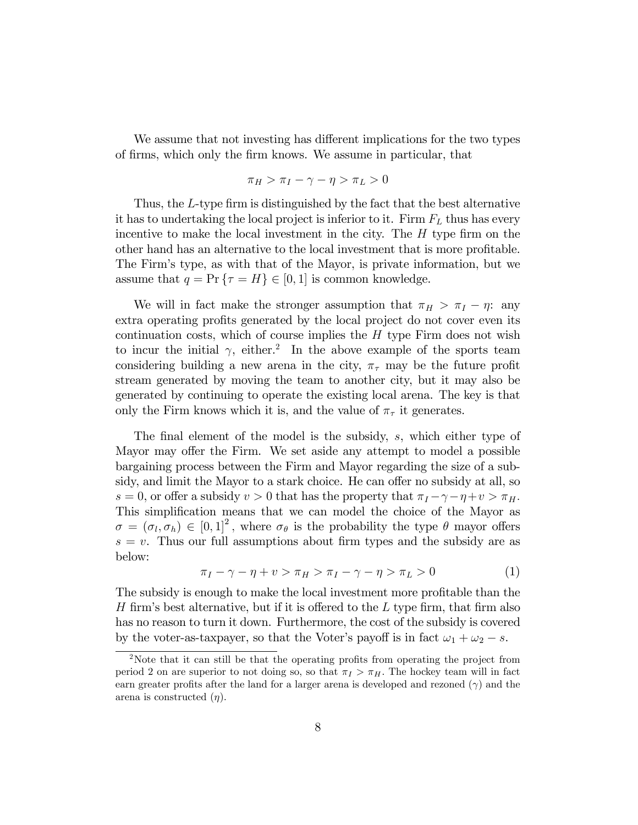We assume that not investing has different implications for the two types of firms, which only the firm knows. We assume in particular, that

$$
\pi_H > \pi_I - \gamma - \eta > \pi_L > 0
$$

Thus, the  $L$ -type firm is distinguished by the fact that the best alternative it has to undertaking the local project is inferior to it. Firm  $F_L$  thus has every incentive to make the local investment in the city. The  $H$  type firm on the other hand has an alternative to the local investment that is more profitable. The Firmís type, as with that of the Mayor, is private information, but we assume that  $q = \Pr \{ \tau = H \} \in [0, 1]$  is common knowledge.

We will in fact make the stronger assumption that  $\pi_H > \pi_I - \eta$ : any extra operating profits generated by the local project do not cover even its continuation costs, which of course implies the  $H$  type Firm does not wish to incur the initial  $\gamma$ , either.<sup>2</sup> In the above example of the sports team considering building a new arena in the city,  $\pi_{\tau}$  may be the future profit stream generated by moving the team to another city, but it may also be generated by continuing to operate the existing local arena. The key is that only the Firm knows which it is, and the value of  $\pi_{\tau}$  it generates.

The final element of the model is the subsidy,  $s$ , which either type of Mayor may offer the Firm. We set aside any attempt to model a possible bargaining process between the Firm and Mayor regarding the size of a subsidy, and limit the Mayor to a stark choice. He can offer no subsidy at all, so  $s = 0$ , or offer a subsidy  $v > 0$  that has the property that  $\pi_I - \gamma - \eta + v > \pi_H$ . This simplification means that we can model the choice of the Mayor as  $\sigma = (\sigma_l, \sigma_h) \in [0, 1]^2$ , where  $\sigma_{\theta}$  is the probability the type  $\theta$  mayor offers  $s = v$ . Thus our full assumptions about firm types and the subsidy are as below:

$$
\pi_I - \gamma - \eta + v > \pi_H > \pi_I - \gamma - \eta > \pi_L > 0 \tag{1}
$$

The subsidy is enough to make the local investment more profitable than the H firm's best alternative, but if it is offered to the  $L$  type firm, that firm also has no reason to turn it down. Furthermore, the cost of the subsidy is covered by the voter-as-taxpayer, so that the Voter's payoff is in fact  $\omega_1 + \omega_2 - s$ .

<sup>&</sup>lt;sup>2</sup>Note that it can still be that the operating profits from operating the project from period 2 on are superior to not doing so, so that  $\pi_I > \pi_H$ . The hockey team will in fact earn greater profits after the land for a larger arena is developed and rezoned  $(\gamma)$  and the arena is constructed  $(\eta)$ .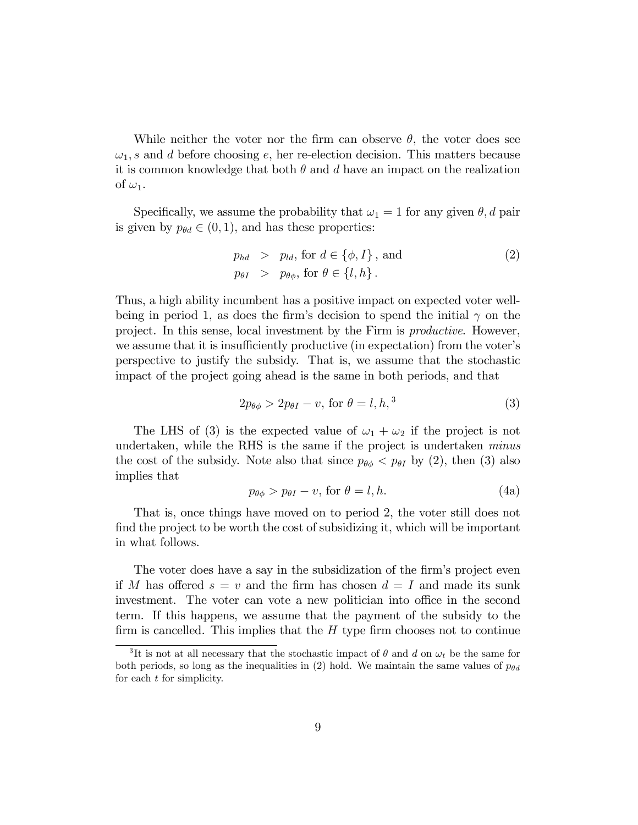While neither the voter nor the firm can observe  $\theta$ , the voter does see  $\omega_1$ , s and d before choosing e, her re-election decision. This matters because it is common knowledge that both  $\theta$  and d have an impact on the realization of  $\omega_1$ .

Specifically, we assume the probability that  $\omega_1 = 1$  for any given  $\theta$ , d pair is given by  $p_{\theta d} \in (0, 1)$ , and has these properties:

$$
p_{hd} > p_{ld}, \text{ for } d \in \{\phi, I\}, \text{ and}
$$
  
\n
$$
p_{\theta I} > p_{\theta \phi}, \text{ for } \theta \in \{l, h\}.
$$
\n(2)

Thus, a high ability incumbent has a positive impact on expected voter wellbeing in period 1, as does the firm's decision to spend the initial  $\gamma$  on the project. In this sense, local investment by the Firm is productive. However, we assume that it is insufficiently productive (in expectation) from the voter's perspective to justify the subsidy. That is, we assume that the stochastic impact of the project going ahead is the same in both periods, and that

$$
2p_{\theta\phi} > 2p_{\theta I} - v, \text{ for } \theta = l, h,^3 \tag{3}
$$

The LHS of (3) is the expected value of  $\omega_1 + \omega_2$  if the project is not undertaken, while the RHS is the same if the project is undertaken minus the cost of the subsidy. Note also that since  $p_{\theta\phi} < p_{\theta I}$  by (2), then (3) also implies that

$$
p_{\theta\phi} > p_{\theta I} - v, \text{ for } \theta = l, h. \tag{4a}
$$

That is, once things have moved on to period 2, the voter still does not find the project to be worth the cost of subsidizing it, which will be important in what follows.

The voter does have a say in the subsidization of the firm's project even if M has offered  $s = v$  and the firm has chosen  $d = I$  and made its sunk investment. The voter can vote a new politician into office in the second term. If this happens, we assume that the payment of the subsidy to the firm is cancelled. This implies that the  $H$  type firm chooses not to continue

<sup>&</sup>lt;sup>3</sup>It is not at all necessary that the stochastic impact of  $\theta$  and  $d$  on  $\omega_t$  be the same for both periods, so long as the inequalities in (2) hold. We maintain the same values of  $p_{\theta d}$ for each t for simplicity.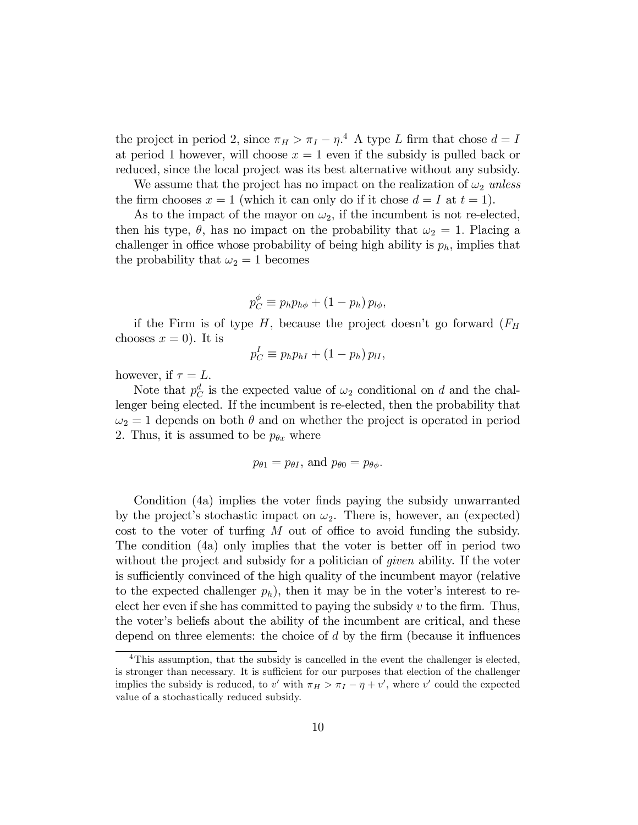the project in period 2, since  $\pi_H > \pi_I - \eta^4$  A type L firm that chose  $d = I$ at period 1 however, will choose  $x = 1$  even if the subsidy is pulled back or reduced, since the local project was its best alternative without any subsidy.

We assume that the project has no impact on the realization of  $\omega_2$  unless the firm chooses  $x = 1$  (which it can only do if it chose  $d = I$  at  $t = 1$ ).

As to the impact of the mayor on  $\omega_2$ , if the incumbent is not re-elected, then his type,  $\theta$ , has no impact on the probability that  $\omega_2 = 1$ . Placing a challenger in office whose probability of being high ability is  $p_h$ , implies that the probability that  $\omega_2 = 1$  becomes

$$
p_C^{\phi} \equiv p_h p_{h\phi} + (1 - p_h) p_{l\phi},
$$

if the Firm is of type  $H$ , because the project doesn't go forward  $(F_H)$ chooses  $x = 0$ . It is

$$
p_C^I \equiv p_h p_{hI} + (1 - p_h) p_{II},
$$

however, if  $\tau = L$ .

Note that  $p_C^d$  is the expected value of  $\omega_2$  conditional on d and the challenger being elected. If the incumbent is re-elected, then the probability that  $\omega_2 = 1$  depends on both  $\theta$  and on whether the project is operated in period 2. Thus, it is assumed to be  $p_{\theta x}$  where

$$
p_{\theta 1} = p_{\theta I}
$$
, and  $p_{\theta 0} = p_{\theta \phi}$ .

Condition (4a) implies the voter finds paying the subsidy unwarranted by the project's stochastic impact on  $\omega_2$ . There is, however, an (expected) cost to the voter of turfing  $M$  out of office to avoid funding the subsidy. The condition  $(4a)$  only implies that the voter is better of in period two without the project and subsidy for a politician of *given* ability. If the voter is sufficiently convinced of the high quality of the incumbent mayor (relative to the expected challenger  $p_h$ ), then it may be in the voter's interest to reelect her even if she has committed to paying the subsidy  $v$  to the firm. Thus, the voterís beliefs about the ability of the incumbent are critical, and these depend on three elements: the choice of  $d$  by the firm (because it influences

<sup>&</sup>lt;sup>4</sup>This assumption, that the subsidy is cancelled in the event the challenger is elected, is stronger than necessary. It is sufficient for our purposes that election of the challenger implies the subsidy is reduced, to v' with  $\pi_H > \pi_I - \eta + v'$ , where v' could the expected value of a stochastically reduced subsidy.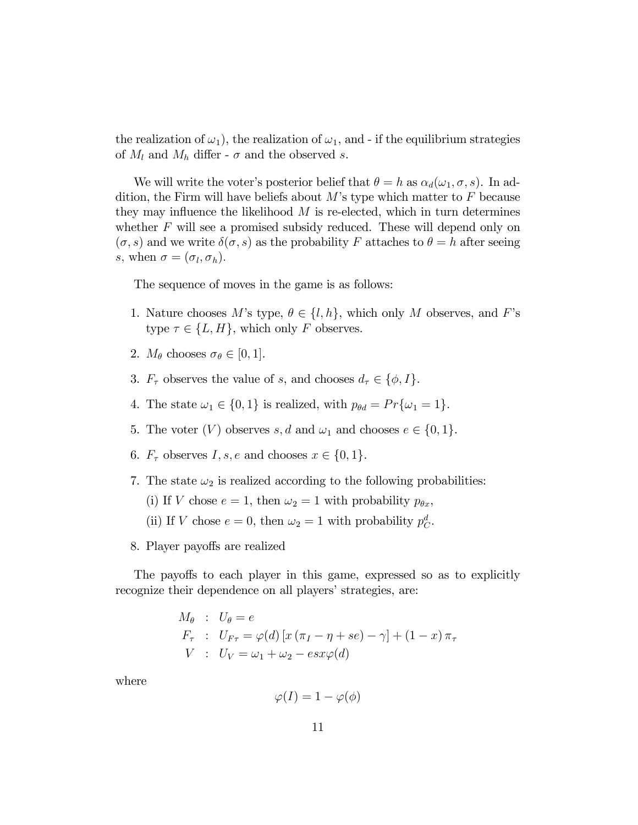the realization of  $\omega_1$ ), the realization of  $\omega_1$ , and - if the equilibrium strategies of  $M_l$  and  $M_h$  differ -  $\sigma$  and the observed s.

We will write the voter's posterior belief that  $\theta = h$  as  $\alpha_d(\omega_1, \sigma, s)$ . In addition, the Firm will have beliefs about  $M$ 's type which matter to  $F$  because they may influence the likelihood  $M$  is re-elected, which in turn determines whether  $F$  will see a promised subsidy reduced. These will depend only on  $(\sigma, s)$  and we write  $\delta(\sigma, s)$  as the probability F attaches to  $\theta = h$  after seeing s, when  $\sigma = (\sigma_l, \sigma_h)$ .

The sequence of moves in the game is as follows:

- 1. Nature chooses M's type,  $\theta \in \{l, h\}$ , which only M observes, and F's type  $\tau \in \{L, H\}$ , which only F observes.
- 2.  $M_{\theta}$  chooses  $\sigma_{\theta} \in [0, 1]$ .
- 3.  $F_{\tau}$  observes the value of s, and chooses  $d_{\tau} \in \{\phi, I\}.$
- 4. The state  $\omega_1 \in \{0, 1\}$  is realized, with  $p_{\theta d} = Pr{\omega_1 = 1}$ .
- 5. The voter  $(V)$  observes s, d and  $\omega_1$  and chooses  $e \in \{0, 1\}.$
- 6.  $F_{\tau}$  observes  $I, s, e$  and chooses  $x \in \{0, 1\}.$
- 7. The state  $\omega_2$  is realized according to the following probabilities:
	- (i) If V chose  $e = 1$ , then  $\omega_2 = 1$  with probability  $p_{\theta x}$ ,

(ii) If V chose  $e = 0$ , then  $\omega_2 = 1$  with probability  $p_C^d$ .

8. Player payoffs are realized

The payoffs to each player in this game, expressed so as to explicitly recognize their dependence on all players' strategies, are:

$$
M_{\theta}: U_{\theta} = e
$$
  
\n
$$
F_{\tau}: U_{F\tau} = \varphi(d) [x (\pi_I - \eta + se) - \gamma] + (1 - x) \pi_{\tau}
$$
  
\n
$$
V: U_V = \omega_1 + \omega_2 - esx\varphi(d)
$$

where

$$
\varphi(I)=1-\varphi(\phi)
$$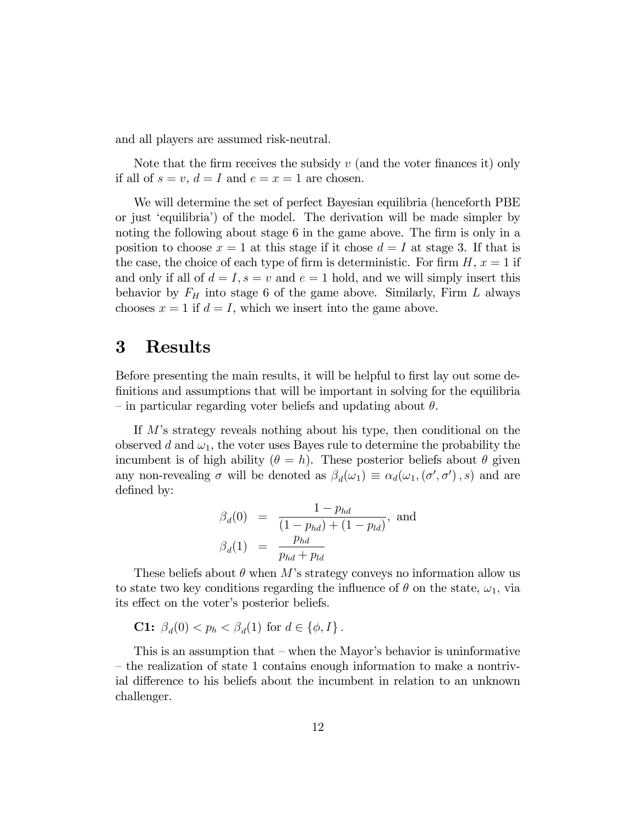and all players are assumed risk-neutral.

Note that the firm receives the subsidy  $v$  (and the voter finances it) only if all of  $s = v$ ,  $d = I$  and  $e = x = 1$  are chosen.

We will determine the set of perfect Bayesian equilibria (henceforth PBE or just ëequilibriaí) of the model. The derivation will be made simpler by noting the following about stage  $6$  in the game above. The firm is only in a position to choose  $x = 1$  at this stage if it chose  $d = I$  at stage 3. If that is the case, the choice of each type of firm is deterministic. For firm  $H, x = 1$  if and only if all of  $d = I$ ,  $s = v$  and  $e = 1$  hold, and we will simply insert this behavior by  $F_H$  into stage 6 of the game above. Similarly, Firm  $L$  always chooses  $x = 1$  if  $d = I$ , which we insert into the game above.

### 3 Results

Before presenting the main results, it will be helpful to first lay out some definitions and assumptions that will be important in solving for the equilibria – in particular regarding voter beliefs and updating about  $\theta$ .

If M's strategy reveals nothing about his type, then conditional on the observed d and  $\omega_1$ , the voter uses Bayes rule to determine the probability the incumbent is of high ability  $(\theta = h)$ . These posterior beliefs about  $\theta$  given any non-revealing  $\sigma$  will be denoted as  $\beta_d(\omega_1) \equiv \alpha_d(\omega_1, (\sigma', \sigma'), s)$  and are defined by:

$$
\beta_d(0) = \frac{1 - p_{hd}}{(1 - p_{hd}) + (1 - p_{ld})}, \text{ and}
$$

$$
\beta_d(1) = \frac{p_{hd}}{p_{hd} + p_{ld}}
$$

These beliefs about  $\theta$  when M's strategy conveys no information allow us to state two key conditions regarding the influence of  $\theta$  on the state,  $\omega_1$ , via its effect on the voter's posterior beliefs.

$$
C1: \beta_d(0) < p_h < \beta_d(1) \text{ for } d \in \{\phi, I\}.
$$

This is an assumption that  $-\omega$  when the Mayor's behavior is uninformative  $\overline{a}$  the realization of state 1 contains enough information to make a nontrivial difference to his beliefs about the incumbent in relation to an unknown challenger.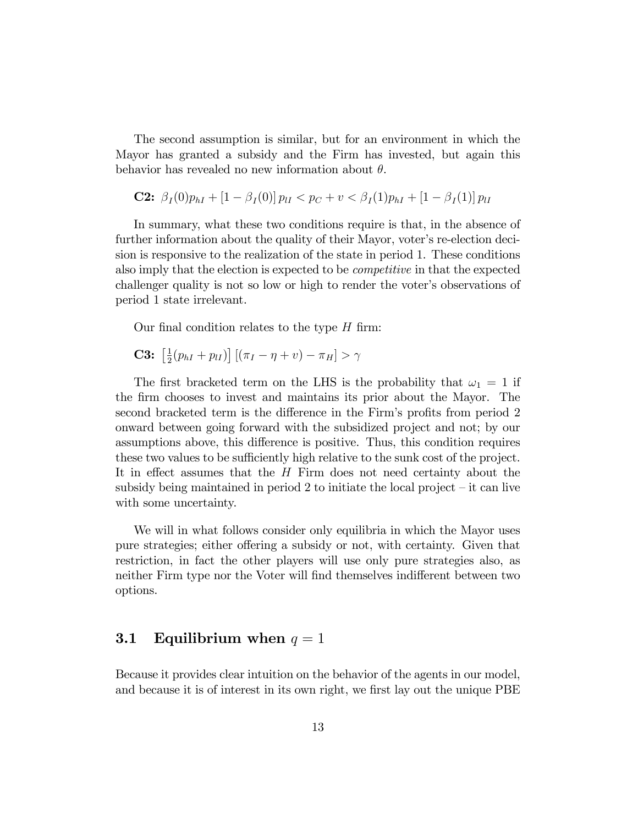The second assumption is similar, but for an environment in which the Mayor has granted a subsidy and the Firm has invested, but again this behavior has revealed no new information about  $\theta$ .

**C2:** 
$$
\beta_I(0)p_{hI} + [1 - \beta_I(0)]p_{lI} < p_C + v < \beta_I(1)p_{hI} + [1 - \beta_I(1)]p_{lI}
$$

In summary, what these two conditions require is that, in the absence of further information about the quality of their Mayor, voter's re-election decision is responsive to the realization of the state in period 1. These conditions also imply that the election is expected to be competitive in that the expected challenger quality is not so low or high to render the voter's observations of period 1 state irrelevant.

Our final condition relates to the type  $H$  firm:

**C3:** 
$$
\left[\frac{1}{2}(p_{hI}+p_{lI})\right] \left[\left(\pi_I-\eta+v\right)-\pi_H\right] > \gamma
$$

The first bracketed term on the LHS is the probability that  $\omega_1 = 1$  if the Örm chooses to invest and maintains its prior about the Mayor. The second bracketed term is the difference in the Firm's profits from period 2 onward between going forward with the subsidized project and not; by our assumptions above, this difference is positive. Thus, this condition requires these two values to be sufficiently high relative to the sunk cost of the project. It in effect assumes that the  $H$  Firm does not need certainty about the subsidy being maintained in period 2 to initiate the local project  $-$  it can live with some uncertainty.

We will in what follows consider only equilibria in which the Mayor uses pure strategies; either offering a subsidy or not, with certainty. Given that restriction, in fact the other players will use only pure strategies also, as neither Firm type nor the Voter will find themselves indifferent between two options.

### 3.1 Equilibrium when  $q = 1$

Because it provides clear intuition on the behavior of the agents in our model, and because it is of interest in its own right, we first lay out the unique PBE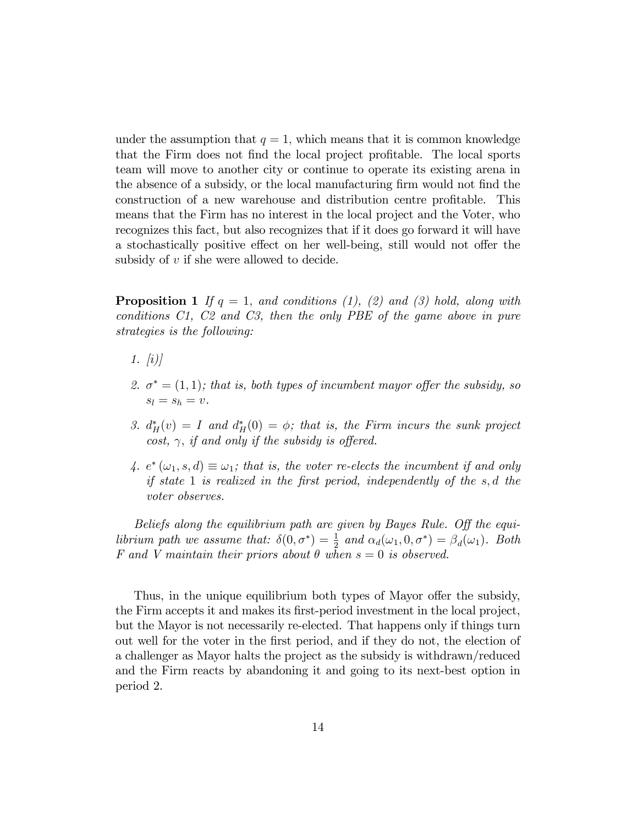under the assumption that  $q = 1$ , which means that it is common knowledge that the Firm does not find the local project profitable. The local sports team will move to another city or continue to operate its existing arena in the absence of a subsidy, or the local manufacturing firm would not find the construction of a new warehouse and distribution centre profitable. This means that the Firm has no interest in the local project and the Voter, who recognizes this fact, but also recognizes that if it does go forward it will have a stochastically positive effect on her well-being, still would not offer the subsidy of v if she were allowed to decide.

**Proposition 1** If  $q = 1$ , and conditions (1), (2) and (3) hold, along with conditions C1, C2 and C3, then the only PBE of the game above in pure strategies is the following:

- 1.  $(i)$
- 2.  $\sigma^* = (1, 1)$ ; that is, both types of incumbent mayor offer the subsidy, so  $s_l = s_h = v.$
- 3.  $d_H^*(v) = I$  and  $d_H^*(0) = \phi$ ; that is, the Firm incurs the sunk project cost,  $\gamma$ , if and only if the subsidy is offered.
- 4.  $e^*(\omega_1, s, d) \equiv \omega_1$ ; that is, the voter re-elects the incumbent if and only if state 1 is realized in the first period, independently of the  $s, d$  the voter observes.

Beliefs along the equilibrium path are given by Bayes Rule. Off the equilibrium path we assume that:  $\delta(0, \sigma^*) = \frac{1}{2}$  and  $\alpha_d(\omega_1, 0, \sigma^*) = \beta_d(\omega_1)$ . Both F and V maintain their priors about  $\theta$  when  $s = 0$  is observed.

Thus, in the unique equilibrium both types of Mayor offer the subsidy, the Firm accepts it and makes its first-period investment in the local project, but the Mayor is not necessarily re-elected. That happens only if things turn out well for the voter in the first period, and if they do not, the election of a challenger as Mayor halts the project as the subsidy is withdrawn/reduced and the Firm reacts by abandoning it and going to its next-best option in period 2.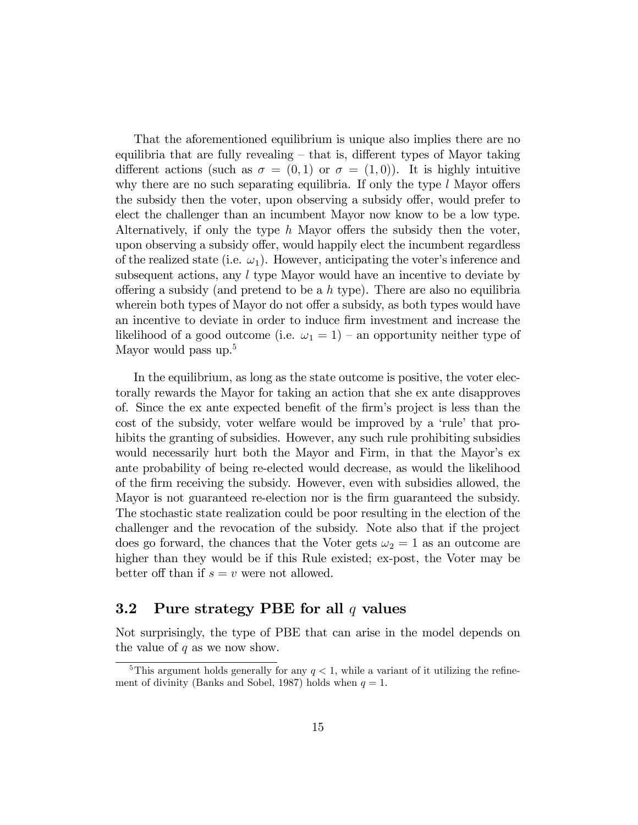That the aforementioned equilibrium is unique also implies there are no equilibria that are fully revealing  $-$  that is, different types of Mayor taking different actions (such as  $\sigma = (0,1)$  or  $\sigma = (1,0)$ ). It is highly intuitive why there are no such separating equilibria. If only the type  $l$  Mayor offers the subsidy then the voter, upon observing a subsidy offer, would prefer to elect the challenger than an incumbent Mayor now know to be a low type. Alternatively, if only the type h Mayor offers the subsidy then the voter, upon observing a subsidy offer, would happily elect the incumbent regardless of the realized state (i.e.  $\omega_1$ ). However, anticipating the voter's inference and subsequent actions, any  $l$  type Mayor would have an incentive to deviate by offering a subsidy (and pretend to be a h type). There are also no equilibria wherein both types of Mayor do not offer a subsidy, as both types would have an incentive to deviate in order to induce firm investment and increase the likelihood of a good outcome (i.e.  $\omega_1 = 1$ ) – an opportunity neither type of Mayor would pass up.<sup>5</sup>

In the equilibrium, as long as the state outcome is positive, the voter electorally rewards the Mayor for taking an action that she ex ante disapproves of. Since the ex ante expected benefit of the firm's project is less than the cost of the subsidy, voter welfare would be improved by a 'rule' that prohibits the granting of subsidies. However, any such rule prohibiting subsidies would necessarily hurt both the Mayor and Firm, in that the Mayor's exante probability of being re-elected would decrease, as would the likelihood of the Örm receiving the subsidy. However, even with subsidies allowed, the Mayor is not guaranteed re-election nor is the Örm guaranteed the subsidy. The stochastic state realization could be poor resulting in the election of the challenger and the revocation of the subsidy. Note also that if the project does go forward, the chances that the Voter gets  $\omega_2 = 1$  as an outcome are higher than they would be if this Rule existed; ex-post, the Voter may be better off than if  $s = v$  were not allowed.

### 3.2 Pure strategy PBE for all  $q$  values

Not surprisingly, the type of PBE that can arise in the model depends on the value of  $q$  as we now show.

<sup>&</sup>lt;sup>5</sup>This argument holds generally for any  $q < 1$ , while a variant of it utilizing the refinement of divinity (Banks and Sobel, 1987) holds when  $q = 1$ .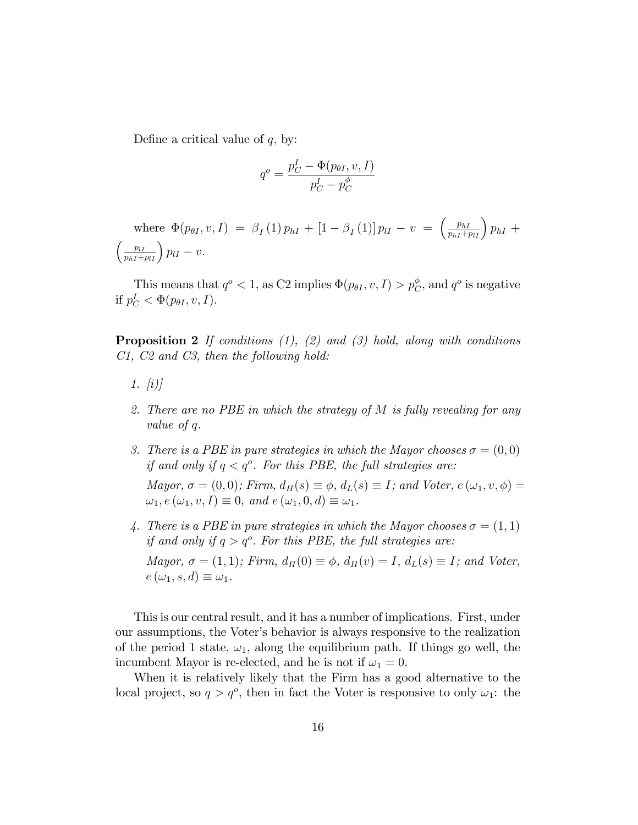Define a critical value of  $q$ , by:

$$
q^o = \frac{p_C^I - \Phi(p_{\theta I}, v, I)}{p_C^I - p_C^{\phi}}
$$

where  $\Phi(p_{\theta I}, v, I) = \beta_I(1) p_{hI} + [1 - \beta_I(1)] p_{lI} - v = \left(\frac{p_{hI}}{p_{hI} + p_{lI}}\right) p_{hI} +$  $\left(\frac{p_{II}}{p_{hI}+p_{II}}\right)p_{II}-v.$ 

This means that  $q^o < 1$ , as C2 implies  $\Phi(p_{\theta I}, v, I) > p_C^{\phi}$ , and  $q^o$  is negative if  $p_C^I < \Phi(p_{\theta I}, v, I)$ .

**Proposition 2** If conditions  $(1)$ ,  $(2)$  and  $(3)$  hold, along with conditions C1, C2 and C3, then the following hold:

- 1.  $(i)$
- 2. There are no PBE in which the strategy of M is fully revealing for any value of q.
- 3. There is a PBE in pure strategies in which the Mayor chooses  $\sigma = (0,0)$ if and only if  $q < q^o$ . For this PBE, the full strategies are:

Mayor,  $\sigma = (0, 0)$ ; Firm,  $d_H(s) \equiv \phi$ ,  $d_L(s) \equiv I$ ; and Voter,  $e(\omega_1, v, \phi) =$  $\omega_1, e(\omega_1, v, I) \equiv 0$ , and  $e(\omega_1, 0, d) \equiv \omega_1$ .

4. There is a PBE in pure strategies in which the Mayor chooses  $\sigma = (1, 1)$ if and only if  $q > q^o$ . For this PBE, the full strategies are: Mayor,  $\sigma = (1, 1)$ ; Firm,  $d_H(0) \equiv \phi$ ,  $d_H(v) = I$ ,  $d_L(s) \equiv I$ ; and Voter,  $e(\omega_1, s, d) \equiv \omega_1.$ 

This is our central result, and it has a number of implications. First, under our assumptions, the Voterís behavior is always responsive to the realization of the period 1 state,  $\omega_1$ , along the equilibrium path. If things go well, the incumbent Mayor is re-elected, and he is not if  $\omega_1 = 0$ .

When it is relatively likely that the Firm has a good alternative to the local project, so  $q > q^o$ , then in fact the Voter is responsive to only  $\omega_1$ : the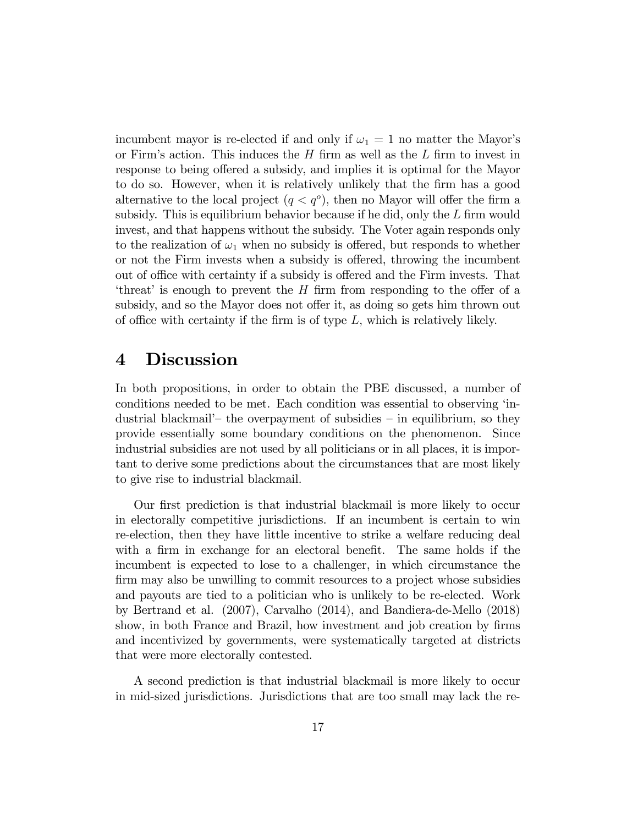incumbent mayor is re-elected if and only if  $\omega_1 = 1$  no matter the Mayor's or Firm's action. This induces the  $H$  firm as well as the  $L$  firm to invest in response to being offered a subsidy, and implies it is optimal for the Mayor to do so. However, when it is relatively unlikely that the firm has a good alternative to the local project  $(q < q<sup>o</sup>)$ , then no Mayor will offer the firm a subsidy. This is equilibrium behavior because if he did, only the  $L$  firm would invest, and that happens without the subsidy. The Voter again responds only to the realization of  $\omega_1$  when no subsidy is offered, but responds to whether or not the Firm invests when a subsidy is offered, throwing the incumbent out of office with certainty if a subsidy is offered and the Firm invests. That 'threat' is enough to prevent the  $H$  firm from responding to the offer of a subsidy, and so the Mayor does not offer it, as doing so gets him thrown out of office with certainty if the firm is of type  $L$ , which is relatively likely.

### 4 Discussion

In both propositions, in order to obtain the PBE discussed, a number of conditions needed to be met. Each condition was essential to observing ëindustrial blackmail<sup> $\sim$ </sup> the overpayment of subsidies  $\sim$  in equilibrium, so they provide essentially some boundary conditions on the phenomenon. Since industrial subsidies are not used by all politicians or in all places, it is important to derive some predictions about the circumstances that are most likely to give rise to industrial blackmail.

Our first prediction is that industrial blackmail is more likely to occur in electorally competitive jurisdictions. If an incumbent is certain to win re-election, then they have little incentive to strike a welfare reducing deal with a firm in exchange for an electoral benefit. The same holds if the incumbent is expected to lose to a challenger, in which circumstance the firm may also be unwilling to commit resources to a project whose subsidies and payouts are tied to a politician who is unlikely to be re-elected. Work by Bertrand et al. (2007), Carvalho (2014), and Bandiera-de-Mello (2018) show, in both France and Brazil, how investment and job creation by firms and incentivized by governments, were systematically targeted at districts that were more electorally contested.

A second prediction is that industrial blackmail is more likely to occur in mid-sized jurisdictions. Jurisdictions that are too small may lack the re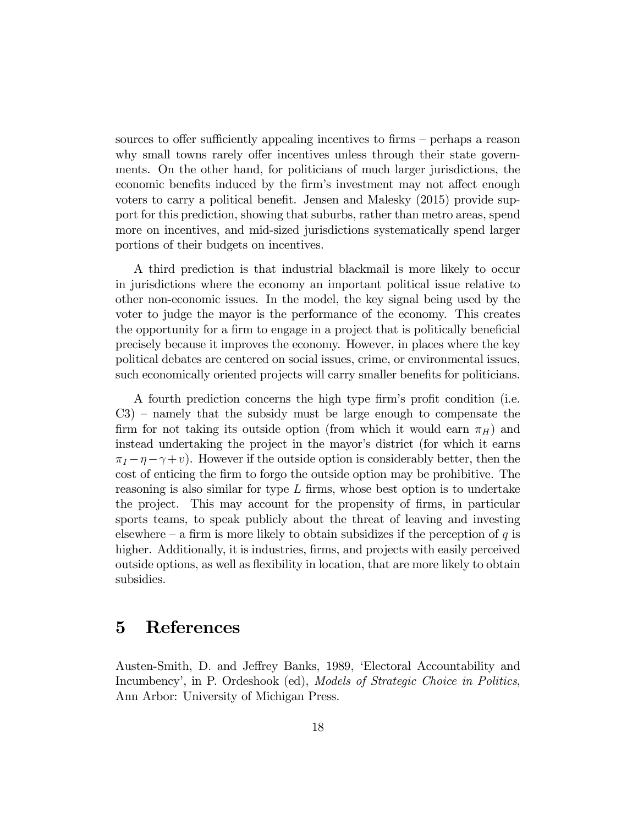sources to offer sufficiently appealing incentives to firms – perhaps a reason why small towns rarely offer incentives unless through their state governments. On the other hand, for politicians of much larger jurisdictions, the economic benefits induced by the firm's investment may not affect enough voters to carry a political benefit. Jensen and Malesky  $(2015)$  provide support for this prediction, showing that suburbs, rather than metro areas, spend more on incentives, and mid-sized jurisdictions systematically spend larger portions of their budgets on incentives.

A third prediction is that industrial blackmail is more likely to occur in jurisdictions where the economy an important political issue relative to other non-economic issues. In the model, the key signal being used by the voter to judge the mayor is the performance of the economy. This creates the opportunity for a firm to engage in a project that is politically beneficial precisely because it improves the economy. However, in places where the key political debates are centered on social issues, crime, or environmental issues, such economically oriented projects will carry smaller benefits for politicians.

A fourth prediction concerns the high type firm's profit condition (i.e.  $C3$ ) – namely that the subsidy must be large enough to compensate the firm for not taking its outside option (from which it would earn  $\pi_H$ ) and instead undertaking the project in the mayor's district (for which it earns  $\pi_I - \eta - \gamma + v$ . However if the outside option is considerably better, then the cost of enticing the firm to forgo the outside option may be prohibitive. The reasoning is also similar for type  $L$  firms, whose best option is to undertake the project. This may account for the propensity of firms, in particular sports teams, to speak publicly about the threat of leaving and investing elsewhere – a firm is more likely to obtain subsidizes if the perception of  $q$  is higher. Additionally, it is industries, firms, and projects with easily perceived outside options, as well as flexibility in location, that are more likely to obtain subsidies.

# 5 References

Austen-Smith, D. and Jeffrey Banks, 1989, 'Electoral Accountability and Incumbency', in P. Ordeshook (ed), *Models of Strategic Choice in Politics*, Ann Arbor: University of Michigan Press.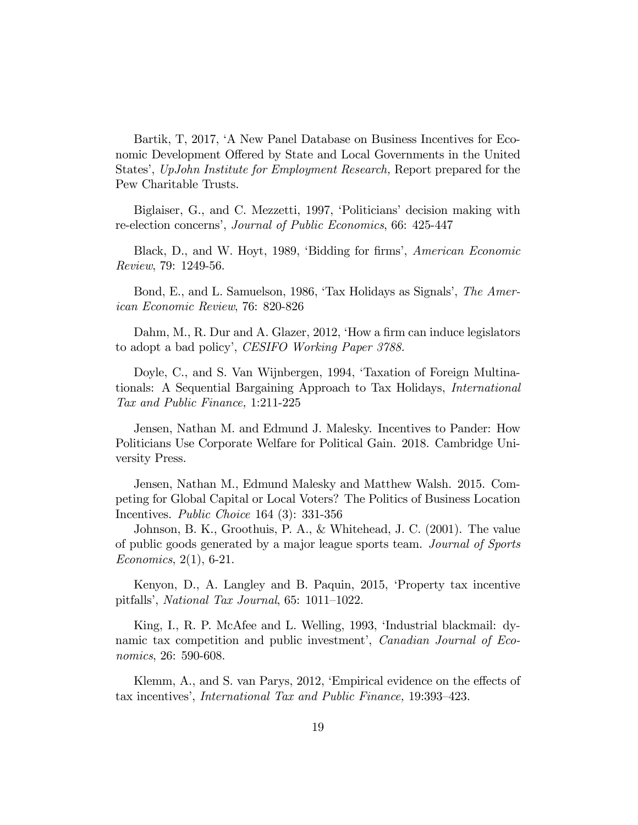Bartik, T, 2017, 'A New Panel Database on Business Incentives for Economic Development Offered by State and Local Governments in the United States', UpJohn Institute for Employment Research, Report prepared for the Pew Charitable Trusts.

Biglaiser, G., and C. Mezzetti, 1997, 'Politicians' decision making with re-election concerns', Journal of Public Economics, 66: 425-447

Black, D., and W. Hoyt, 1989, 'Bidding for firms', American Economic Review, 79: 1249-56.

Bond, E., and L. Samuelson, 1986, 'Tax Holidays as Signals', The American Economic Review, 76: 820-826

Dahm, M., R. Dur and A. Glazer, 2012, 'How a firm can induce legislators to adopt a bad policy', CESIFO Working Paper 3788.

Doyle, C., and S. Van Wijnbergen, 1994, 'Taxation of Foreign Multinationals: A Sequential Bargaining Approach to Tax Holidays, International Tax and Public Finance, 1:211-225

Jensen, Nathan M. and Edmund J. Malesky. Incentives to Pander: How Politicians Use Corporate Welfare for Political Gain. 2018. Cambridge University Press.

Jensen, Nathan M., Edmund Malesky and Matthew Walsh. 2015. Competing for Global Capital or Local Voters? The Politics of Business Location Incentives. Public Choice 164 (3): 331-356

Johnson, B. K., Groothuis, P. A., & Whitehead, J. C. (2001). The value of public goods generated by a major league sports team. Journal of Sports Economics, 2(1), 6-21.

Kenyon, D., A. Langley and B. Paquin, 2015, 'Property tax incentive pitfalls', National Tax Journal,  $65: 1011-1022$ .

King, I., R. P. McAfee and L. Welling, 1993, 'Industrial blackmail: dynamic tax competition and public investment', *Canadian Journal of Eco*nomics, 26: 590-608.

Klemm, A., and S. van Parys, 2012, 'Empirical evidence on the effects of tax incentives', *International Tax and Public Finance*, 19:393-423.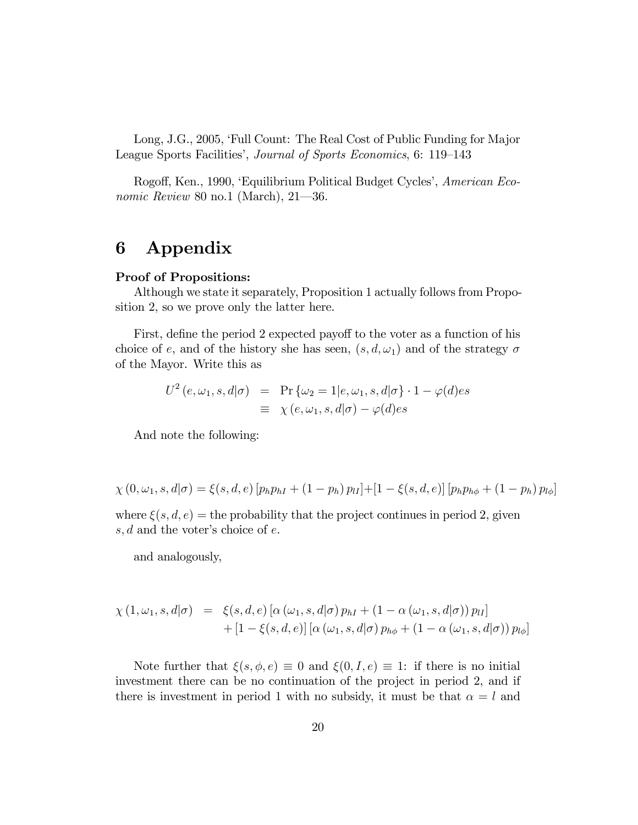Long, J.G., 2005, 'Full Count: The Real Cost of Public Funding for Major League Sports Facilities', Journal of Sports Economics, 6: 119-143

Rogoff, Ken., 1990, 'Equilibrium Political Budget Cycles', American Economic Review 80 no.1 (March),  $21-36$ .

## 6 Appendix

#### Proof of Propositions:

Although we state it separately, Proposition 1 actually follows from Proposition 2, so we prove only the latter here.

First, define the period 2 expected payoff to the voter as a function of his choice of e, and of the history she has seen,  $(s, d, \omega_1)$  and of the strategy  $\sigma$ of the Mayor. Write this as

$$
U^2(e, \omega_1, s, d | \sigma) = \Pr{\omega_2 = 1 | e, \omega_1, s, d | \sigma} \cdot 1 - \varphi(d) e s
$$
  

$$
\equiv \chi(e, \omega_1, s, d | \sigma) - \varphi(d) e s
$$

And note the following:

$$
\chi(0,\omega_1,s,d|\sigma) = \xi(s,d,e) \left[ p_h p_{hI} + (1-p_h) p_{lI} \right] + \left[ 1 - \xi(s,d,e) \right] \left[ p_h p_{h\phi} + (1-p_h) p_{l\phi} \right]
$$

where  $\xi(s, d, e) =$  the probability that the project continues in period 2, given  $s, d$  and the voter's choice of  $e$ .

and analogously,

$$
\chi(1,\omega_1,s,d|\sigma) = \xi(s,d,e) \left[ \alpha(\omega_1,s,d|\sigma) p_{hI} + (1-\alpha(\omega_1,s,d|\sigma)) p_{lI} \right] + \left[ 1 - \xi(s,d,e) \right] \left[ \alpha(\omega_1,s,d|\sigma) p_{h\phi} + (1-\alpha(\omega_1,s,d|\sigma)) p_{l\phi} \right]
$$

Note further that  $\xi(s, \phi, e) \equiv 0$  and  $\xi(0, I, e) \equiv 1$ : if there is no initial investment there can be no continuation of the project in period 2, and if there is investment in period 1 with no subsidy, it must be that  $\alpha = l$  and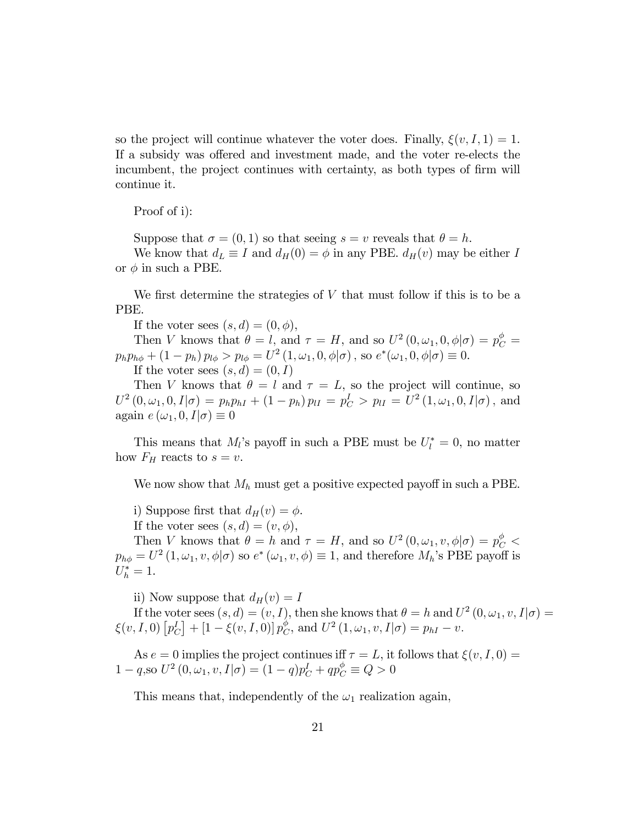so the project will continue whatever the voter does. Finally,  $\xi(v, I, 1) = 1$ . If a subsidy was offered and investment made, and the voter re-elects the incumbent, the project continues with certainty, as both types of firm will continue it.

Proof of i):

Suppose that  $\sigma = (0, 1)$  so that seeing  $s = v$  reveals that  $\theta = h$ .

We know that  $d_L \equiv I$  and  $d_H(0) = \phi$  in any PBE.  $d_H(v)$  may be either I or  $\phi$  in such a PBE.

We first determine the strategies of  $V$  that must follow if this is to be a PBE.

If the voter sees  $(s, d) = (0, \phi)$ ,

Then V knows that  $\theta = l$ , and  $\tau = H$ , and so  $U^2(0, \omega_1, 0, \phi | \sigma) = p_C^{\phi}$  $p_h p_{h\phi} + (1 - p_h) p_{l\phi} > p_{l\phi} = U^2(1, \omega_1, 0, \phi | \sigma)$ , so  $e^*(\omega_1, 0, \phi | \sigma) \equiv 0$ . If the voter sees  $(s, d) = (0, I)$ 

Then V knows that  $\theta = l$  and  $\tau = L$ , so the project will continue, so  $U^2\left(0,\omega_1,0,I|\sigma\right) = p_h p_{hI} + \left(1-p_h\right) p_{lI} = p_C^I > p_{lI} = U^2\left(1,\omega_1,0,I|\sigma\right), \text{ and}$ again  $e(\omega_1, 0, I|\sigma) \equiv 0$ 

This means that  $M_l$ 's payoff in such a PBE must be  $U_l^* = 0$ , no matter how  $F_H$  reacts to  $s = v$ .

We now show that  $M_h$  must get a positive expected payoff in such a PBE.

i) Suppose first that  $d_H(v) = \phi$ .

If the voter sees  $(s, d) = (v, \phi)$ ,

Then V knows that  $\theta = h$  and  $\tau = H$ , and so  $U^2(0, \omega_1, v, \phi | \sigma) = p_C^{\phi}$  $p_{h\phi} = U^2(1,\omega_1,v,\phi|\sigma)$  so  $e^*(\omega_1,v,\phi) \equiv 1$ , and therefore  $M_h$ 's PBE payoff is  $U_h^* = 1.$ 

ii) Now suppose that  $d_H(v) = I$ 

If the voter sees  $(s, d) = (v, I)$ , then she knows that  $\theta = h$  and  $U^2(0, \omega_1, v, I | \sigma) =$  $\xi(v,I,0)\left[p^I_C\right] + \left[1-\overline{\xi(v,I,0)}\right]p^{\phi}_C$  $_{C}^{\phi}$ , and  $U^{2}(1, \omega_{1}, v, I|\sigma) = p_{hI} - v.$ 

As  $e = 0$  implies the project continues iff  $\tau = L$ , it follows that  $\xi(v, I, 0) =$  $1 - q$ ,so  $U^2(0, \omega_1, v, I | \sigma) = (1 - q)p_C + qp_C^{\phi} \equiv Q > 0$ 

This means that, independently of the  $\omega_1$  realization again,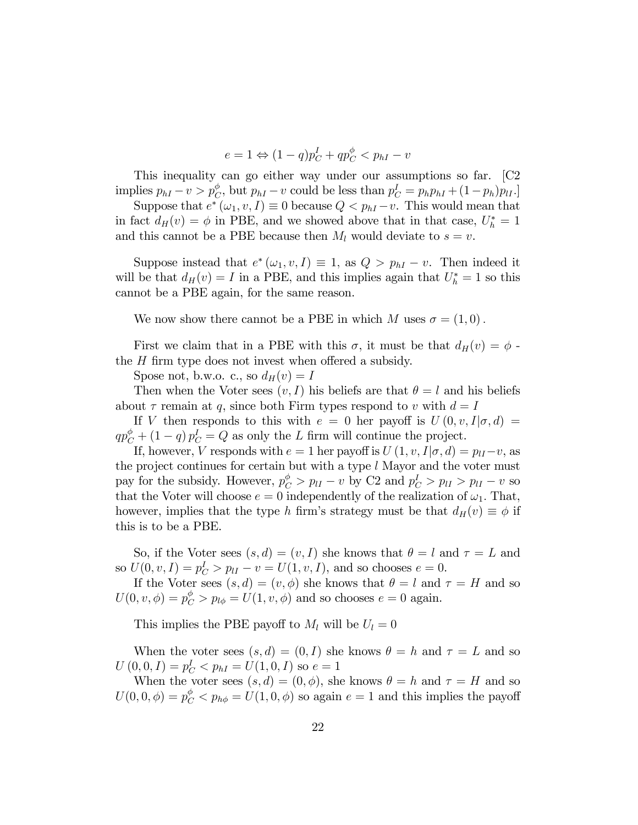$$
e = 1 \Leftrightarrow (1 - q)p_C^I + qp_C^{\phi} < p_{hI} - v
$$

This inequality can go either way under our assumptions so far. [C2 implies  $p_{hI} - v > p_C^{\phi}$ , but  $p_{hI} - v$  could be less than  $p_C^I = p_h p_{hI} + (1 - p_h)p_{II}$ .

Suppose that  $e^*(\omega_1, v, I) \equiv 0$  because  $Q < p_{hI} - v$ . This would mean that in fact  $d_H(v) = \phi$  in PBE, and we showed above that in that case,  $U_h^* = 1$ and this cannot be a PBE because then  $M_l$  would deviate to  $s = v$ .

Suppose instead that  $e^*(\omega_1, v, I) \equiv 1$ , as  $Q > p_{hI} - v$ . Then indeed it will be that  $d_H(v) = I$  in a PBE, and this implies again that  $U_h^* = 1$  so this cannot be a PBE again, for the same reason.

We now show there cannot be a PBE in which M uses  $\sigma = (1,0)$ .

First we claim that in a PBE with this  $\sigma$ , it must be that  $d_H(v) = \phi$ . the  $H$  firm type does not invest when offered a subsidy.

Spose not, b.w.o. c., so  $d_H(v) = I$ 

Then when the Voter sees  $(v, I)$  his beliefs are that  $\theta = l$  and his beliefs about  $\tau$  remain at q, since both Firm types respond to v with  $d = I$ 

If V then responds to this with  $e = 0$  her payoff is  $U(0, v, I | \sigma, d) =$  $qp_C^{\phi} + (1-q) p_C^I = Q$  as only the L firm will continue the project.

If, however, V responds with  $e = 1$  her payoff is  $U(1, v, I | \sigma, d) = p_{II} - v$ , as the project continues for certain but with a type  $l$  Mayor and the voter must pay for the subsidy. However,  $p_C^{\phi} > p_{II} - v$  by C2 and  $p_C^I > p_{II} > p_{II} - v$  so that the Voter will choose  $e = 0$  independently of the realization of  $\omega_1$ . That, however, implies that the type h firm's strategy must be that  $d_H(v) \equiv \phi$  if this is to be a PBE.

So, if the Voter sees  $(s, d) = (v, I)$  she knows that  $\theta = l$  and  $\tau = L$  and so  $U(0, v, I) = p_C^I > p_I v - v = U(1, v, I)$ , and so chooses  $e = 0$ .

If the Voter sees  $(s, d) = (v, \phi)$  she knows that  $\theta = l$  and  $\tau = H$  and so  $U(0, v, \phi) = p_C^{\phi} > p_{l\phi} = U(1, v, \phi)$  and so chooses  $e = 0$  again.

This implies the PBE payoff to  $M_l$  will be  $U_l = 0$ 

When the voter sees  $(s, d) = (0, I)$  she knows  $\theta = h$  and  $\tau = L$  and so  $U(0,0,I) = p_C^I < p_{hI} = U(1,0,I)$  so  $e = 1$ 

When the voter sees  $(s, d) = (0, \phi)$ , she knows  $\theta = h$  and  $\tau = H$  and so  $U(0,0,\phi) = p_C^{\phi} < p_{h\phi} = U(1,0,\phi)$  so again  $e = 1$  and this implies the payoff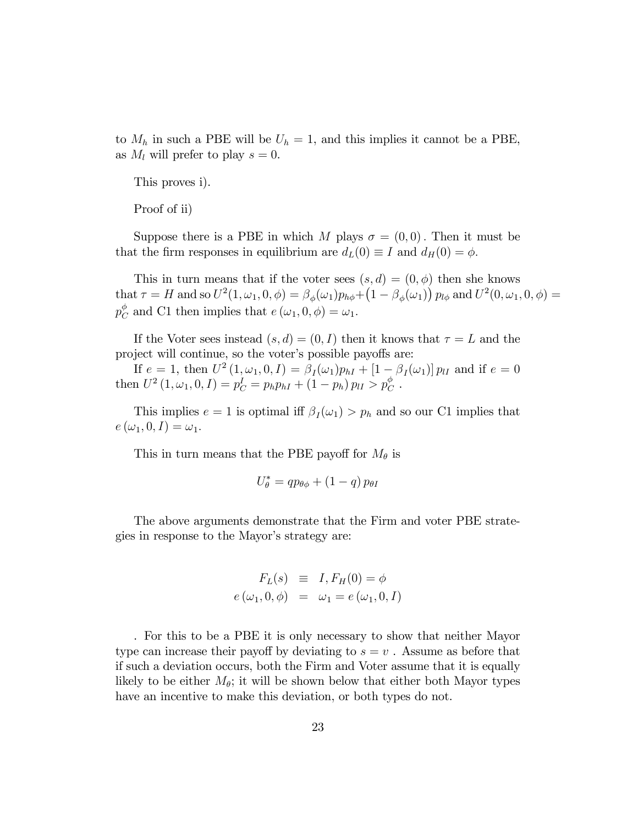to  $M_h$  in such a PBE will be  $U_h = 1$ , and this implies it cannot be a PBE, as  $M_l$  will prefer to play  $s = 0$ .

This proves i).

Proof of ii)

Suppose there is a PBE in which M plays  $\sigma = (0,0)$ . Then it must be that the firm responses in equilibrium are  $d_L(0) \equiv I$  and  $d_H(0) = \phi$ .

This in turn means that if the voter sees  $(s, d) = (0, \phi)$  then she knows  $\text{that } \tau = H \text{ and so } U^2(1,\omega_1,0,\phi) = \beta_{\phi}(\omega_1) p_{h\phi} + (1-\beta_{\phi}(\omega_1)) p_{l\phi} \text{ and } U^2(0,\omega_1,0,\phi) =$  $p_{C}^{\phi}$  $_{C}^{\phi}$  and C1 then implies that  $e(\omega_1, 0, \phi) = \omega_1$ .

If the Voter sees instead  $(s, d) = (0, I)$  then it knows that  $\tau = L$  and the project will continue, so the voter's possible payoffs are:

If  $e = 1$ , then  $U^2(1, \omega_1, 0, I) = \beta_I(\omega_1)p_{hI} + [1 - \beta_I(\omega_1)] p_{lI}$  and if  $e = 0$ then  $U^2(1, \omega_1, 0, I) = p_C^I = p_h p_{hI} + (1 - p_h) p_{lI} > p_C^{\phi}$ .

This implies  $e = 1$  is optimal iff  $\beta_I(\omega_1) > p_h$  and so our C1 implies that  $e(\omega_1, 0, I) = \omega_1.$ 

This in turn means that the PBE payoff for  $M_{\theta}$  is

$$
U_{\theta}^* = qp_{\theta\phi} + (1-q) p_{\theta I}
$$

The above arguments demonstrate that the Firm and voter PBE strategies in response to the Mayor's strategy are:

$$
F_L(s) \equiv I, F_H(0) = \phi
$$
  

$$
e(\omega_1, 0, \phi) = \omega_1 = e(\omega_1, 0, I)
$$

. For this to be a PBE it is only necessary to show that neither Mayor type can increase their payoff by deviating to  $s = v$ . Assume as before that if such a deviation occurs, both the Firm and Voter assume that it is equally likely to be either  $M_{\theta}$ ; it will be shown below that either both Mayor types have an incentive to make this deviation, or both types do not.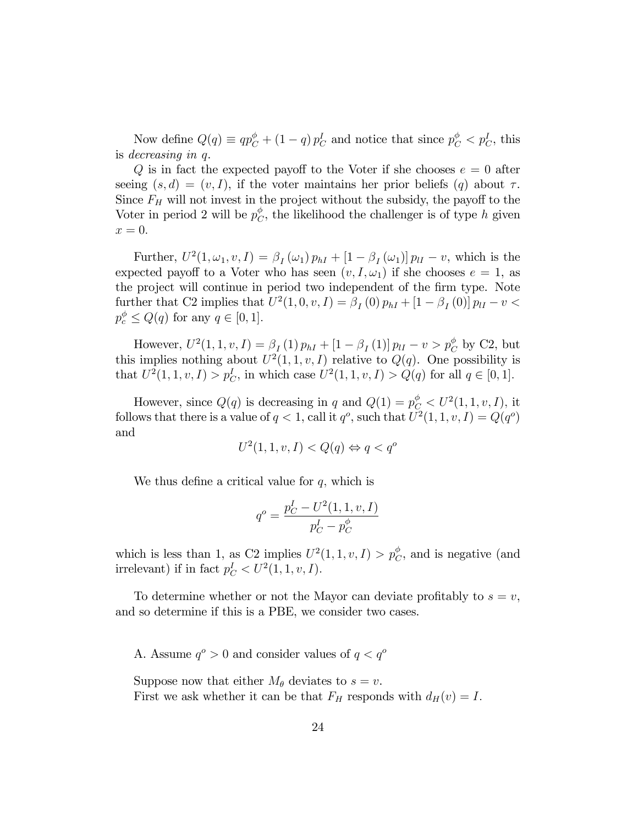Now define  $Q(q) \equiv qp_C^{\phi} + (1-q) p_C^I$  and notice that since  $p_C^{\phi} < p_C^I$ , this is decreasing in q.

Q is in fact the expected payoff to the Voter if she chooses  $e = 0$  after seeing  $(s, d) = (v, I)$ , if the voter maintains her prior beliefs  $(q)$  about  $\tau$ . Since  $F_H$  will not invest in the project without the subsidy, the payoff to the Voter in period 2 will be  $p_C^{\phi}$  $\mathcal{C}$ , the likelihood the challenger is of type h given  $x=0.$ 

Further,  $U^2(1, \omega_1, v, I) = \beta_I(\omega_1) p_{hI} + [1 - \beta_I(\omega_1)] p_{lI} - v$ , which is the expected payoff to a Voter who has seen  $(v, I, \omega_1)$  if she chooses  $e = 1$ , as the project will continue in period two independent of the firm type. Note further that C2 implies that  $U^2(1,0,v,I) = \beta_I(0) p_{hI} + [1 - \beta_I(0)] p_{lI} - v <$  $p_c^{\phi} \le Q(q)$  for any  $q \in [0, 1]$ .

However,  $U^2(1, 1, v, I) = \beta_I(1) p_{hI} + [1 - \beta_I(1)] p_{lI} - v > p_C^{\phi}$  by C2, but this implies nothing about  $U^2(1,1,v,I)$  relative to  $Q(q)$ . One possibility is that  $U^2(1, 1, v, I) > p_C^I$ , in which case  $U^2(1, 1, v, I) > Q(q)$  for all  $q \in [0, 1]$ .

However, since  $Q(q)$  is decreasing in q and  $Q(1) = p_C^{\phi} < U^2(1, 1, v, I)$ , it follows that there is a value of  $q < 1$ , call it  $q^o$ , such that  $U^2(1, 1, v, I) = Q(q^o)$ and

$$
U^2(1,1,v,I) < Q(q) \Leftrightarrow q < q^o
$$

We thus define a critical value for  $q$ , which is

$$
q^{o} = \frac{p_C^I - U^2(1, 1, v, I)}{p_C^I - p_C^{\phi}}
$$

which is less than 1, as C2 implies  $U^2(1,1,v,I) > p_C^{\phi}$ , and is negative (and irrelevant) if in fact  $p_C^I < U^2(1, 1, v, I)$ .

To determine whether or not the Mayor can deviate profitably to  $s = v$ , and so determine if this is a PBE, we consider two cases.

A. Assume  $q^o > 0$  and consider values of  $q < q^o$ 

Suppose now that either  $M_{\theta}$  deviates to  $s = v$ . First we ask whether it can be that  $F_H$  responds with  $d_H(v) = I$ .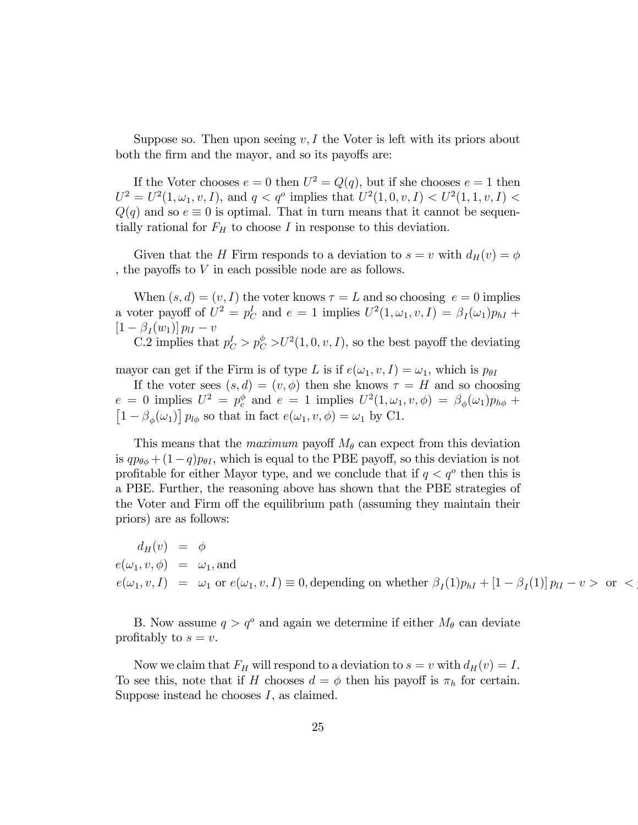Suppose so. Then upon seeing  $v, I$  the Voter is left with its priors about both the firm and the mayor, and so its payoffs are:

If the Voter chooses  $e = 0$  then  $U^2 = Q(q)$ , but if she chooses  $e = 1$  then  $U^2 = U^2(1, \omega_1, v, I)$ , and  $q < q^o$  implies that  $U^2(1, 0, v, I) < U^2(1, 1, v, I)$  $Q(q)$  and so  $e \equiv 0$  is optimal. That in turn means that it cannot be sequentially rational for  $F_H$  to choose I in response to this deviation.

Given that the H Firm responds to a deviation to  $s = v$  with  $d_H(v) = \phi$ , the payoffs to  $V$  in each possible node are as follows.

When  $(s, d) = (v, I)$  the voter knows  $\tau = L$  and so choosing  $e = 0$  implies a voter payoff of  $U^2 = p_C^I$  and  $e = 1$  implies  $U^2(1, \omega_1, v, I) = \beta_I(\omega_1)p_{hI} +$  $\left[1-\beta_I(w_1)\right]p_{II}-v$ 

C.2 implies that  $p_C^I > p_C^{\phi} > U^2(1, 0, v, I)$ , so the best payoff the deviating

mayor can get if the Firm is of type L is if  $e(\omega_1, v, I) = \omega_1$ , which is  $p_{\theta I}$ 

If the voter sees  $(s, d) = (v, \phi)$  then she knows  $\tau = H$  and so choosing  $e = 0$  implies  $U^2 = p_c^{\phi}$  and  $e = 1$  implies  $U^2(1, \omega_1, v, \phi) = \beta_{\phi}(\omega_1)p_{h\phi} +$  $\left[1-\beta_{\phi}(\omega_1)\right]p_{l\phi}$  so that in fact  $e(\omega_1, v, \phi) = \omega_1$  by C1.

This means that the *maximum* payoff  $M_\theta$  can expect from this deviation is  $q p_{\theta\phi} + (1-q)p_{\theta I}$ , which is equal to the PBE payoff, so this deviation is not profitable for either Mayor type, and we conclude that if  $q < q^{\circ}$  then this is a PBE. Further, the reasoning above has shown that the PBE strategies of the Voter and Firm off the equilibrium path (assuming they maintain their priors) are as follows:

 $d_H(v) = \phi$  $e(\omega_1, v, \phi) = \omega_1$ , and  $e(\omega_1, v, I) = \omega_1$  or  $e(\omega_1, v, I) \equiv 0$ , depending on whether  $\beta_I(1)p_{hI} + [1 - \beta_I(1)]p_{lI} - v >$  or  $\lt$ 

B. Now assume  $q > q^o$  and again we determine if either  $M_\theta$  can deviate profitably to  $s = v$ .

Now we claim that  $F_H$  will respond to a deviation to  $s = v$  with  $d_H(v) = I$ . To see this, note that if H chooses  $d = \phi$  then his payoff is  $\pi_h$  for certain. Suppose instead he chooses I, as claimed.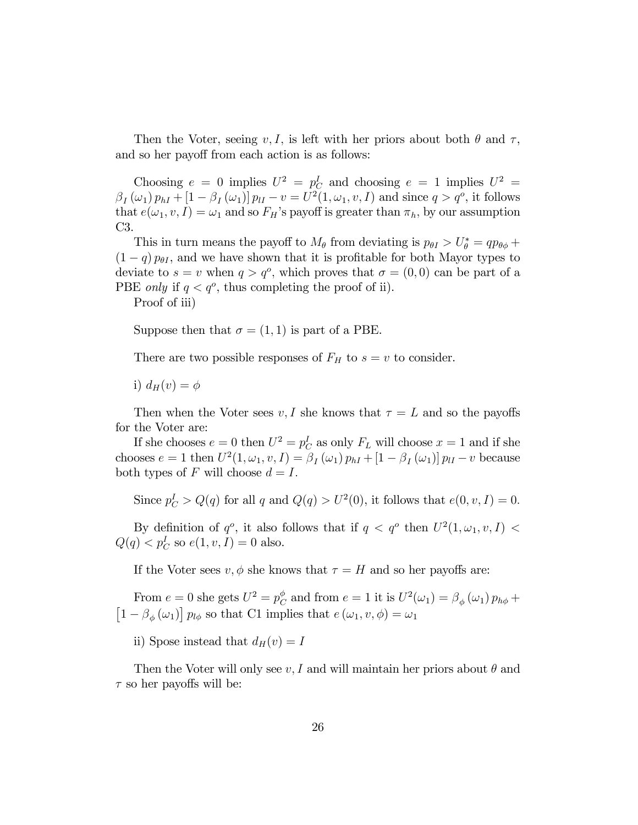Then the Voter, seeing v, I, is left with her priors about both  $\theta$  and  $\tau$ , and so her payoff from each action is as follows:

Choosing  $e = 0$  implies  $U^2 = p_C^I$  and choosing  $e = 1$  implies  $U^2 =$  $\beta_I(\omega_1) p_{hI} + [1 - \beta_I(\omega_1)] p_{lI} - v = U^2(1, \omega_1, v, I)$  and since  $q > q^o$ , it follows that  $e(\omega_1, v, I) = \omega_1$  and so  $F_H$ 's payoff is greater than  $\pi_h$ , by our assumption C3.

This in turn means the payoff to  $M_{\theta}$  from deviating is  $p_{\theta I} > U_{\theta}^* = qp_{\theta\phi} +$  $(1 - q) p_{\theta I}$ , and we have shown that it is profitable for both Mayor types to deviate to  $s = v$  when  $q > q^o$ , which proves that  $\sigma = (0, 0)$  can be part of a PBE *only* if  $q < q^o$ , thus completing the proof of ii).

Proof of iii)

Suppose then that  $\sigma = (1, 1)$  is part of a PBE.

There are two possible responses of  $F_H$  to  $s = v$  to consider.

i)  $d_H(v) = \phi$ 

Then when the Voter sees v, I she knows that  $\tau = L$  and so the payoffs for the Voter are:

If she chooses  $e = 0$  then  $U^2 = p_C^I$  as only  $F_L$  will choose  $x = 1$  and if she chooses  $e = 1$  then  $U^2(1, \omega_1, v, I) = \beta_I(\omega_1) p_{hI} + [1 - \beta_I(\omega_1)] p_{lI} - v$  because both types of F will choose  $d = I$ .

Since  $p_C^I > Q(q)$  for all q and  $Q(q) > U^2(0)$ , it follows that  $e(0, v, I) = 0$ .

By definition of  $q^o$ , it also follows that if  $q < q^o$  then  $U^2(1, \omega_1, v, I)$  $Q(q) < p_C^I$  so  $e(1, v, I) = 0$  also.

If the Voter sees  $v, \phi$  she knows that  $\tau = H$  and so her payoffs are:

From  $e = 0$  she gets  $U^2 = p_C^{\phi}$  $\mathcal{C}_{C}^{\phi}$  and from  $e = 1$  it is  $U^2(\omega_1) = \beta_{\phi}(\omega_1) p_{h\phi} +$  $\left[1-\beta_{\phi}\left(\omega_{1}\right)\right]p_{l\phi}$  so that C1 implies that  $e\left(\omega_{1},v,\phi\right)=\omega_{1}$ 

ii) Spose instead that  $d_H(v) = I$ 

Then the Voter will only see  $v, I$  and will maintain her priors about  $\theta$  and  $\tau$  so her payoffs will be: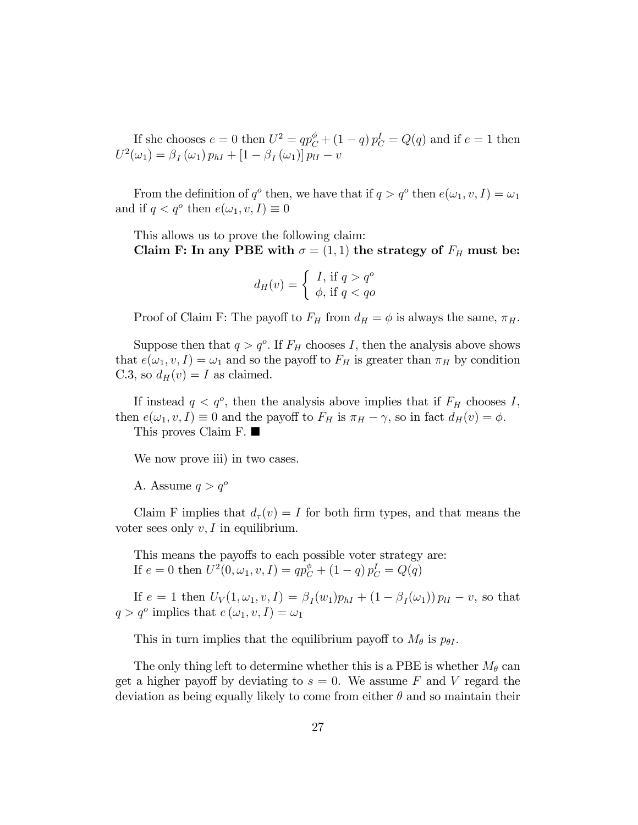If she chooses  $e = 0$  then  $U^2 = qp_C^{\phi} + (1 - q) p_C^I = Q(q)$  and if  $e = 1$  then  $U^{2}(\omega_{1}) = \beta_{I}(\omega_{1}) p_{hI} + [1 - \beta_{I}(\omega_{1})] p_{lI} - v$ 

From the definition of  $q^o$  then, we have that if  $q > q^o$  then  $e(\omega_1, v, I) = \omega_1$ and if  $q < q^o$  then  $e(\omega_1, v, I) \equiv 0$ 

This allows us to prove the following claim: Claim F: In any PBE with  $\sigma = (1, 1)$  the strategy of  $F_H$  must be:

$$
d_H(v) = \begin{cases} I, \text{ if } q > q^o \\ \phi, \text{ if } q < qo \end{cases}
$$

Proof of Claim F: The payoff to  $F_H$  from  $d_H = \phi$  is always the same,  $\pi_H$ .

Suppose then that  $q > q^o$ . If  $F_H$  chooses I, then the analysis above shows that  $e(\omega_1, v, I) = \omega_1$  and so the payoff to  $F_H$  is greater than  $\pi_H$  by condition C.3, so  $d_H(v) = I$  as claimed.

If instead  $q < q^o$ , then the analysis above implies that if  $F_H$  chooses I, then  $e(\omega_1, v, I) \equiv 0$  and the payoff to  $F_H$  is  $\pi_H - \gamma$ , so in fact  $d_H(v) = \phi$ . This proves Claim F.

We now prove iii) in two cases.

A. Assume  $q > q^o$ 

Claim F implies that  $d_{\tau}(v) = I$  for both firm types, and that means the voter sees only  $v, I$  in equilibrium.

This means the payoffs to each possible voter strategy are: If  $e = 0$  then  $U^2(0, \omega_1, v, I) = qp_C^{\phi} + (1 - q) p_C^I = Q(q)$ 

If  $e = 1$  then  $U_V(1, \omega_1, v, I) = \beta_I(w_1)p_{hI} + (1 - \beta_I(\omega_1)) p_{lI} - v$ , so that  $q > q^o$  implies that  $e(\omega_1, v, I) = \omega_1$ 

This in turn implies that the equilibrium payoff to  $M_{\theta}$  is  $p_{\theta I}$ .

The only thing left to determine whether this is a PBE is whether  $M_{\theta}$  can get a higher payoff by deviating to  $s = 0$ . We assume F and V regard the deviation as being equally likely to come from either  $\theta$  and so maintain their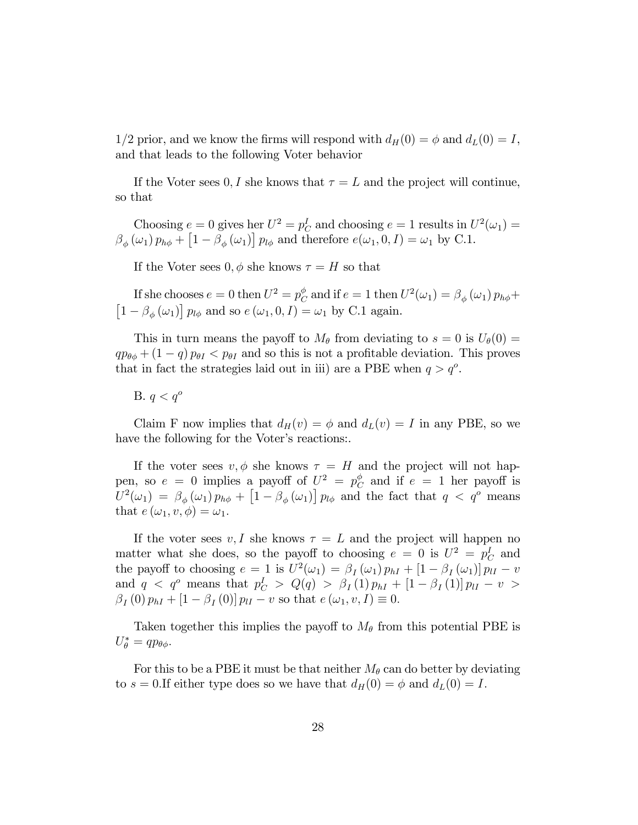1/2 prior, and we know the firms will respond with  $d_H(0) = \phi$  and  $d_L(0) = I$ , and that leads to the following Voter behavior

If the Voter sees 0, I she knows that  $\tau = L$  and the project will continue, so that

Choosing  $e = 0$  gives her  $U^2 = p_C^I$  and choosing  $e = 1$  results in  $U^2(\omega_1) =$  $\beta_{\phi}(\omega_1) p_{h\phi} + [1 - \beta_{\phi}(\omega_1)] p_{l\phi}$  and therefore  $e(\omega_1, 0, I) = \omega_1$  by C.1.

If the Voter sees  $0, \phi$  she knows  $\tau = H$  so that

If she chooses  $e = 0$  then  $U^2 = p_C^{\phi}$  $\overset{\phi}{C}$  and if  $e=1$  then  $U^{2}(\omega_{1})=\beta_{\phi}\left(\omega_{1}\right)p_{h\phi}+$  $\left[1-\beta_{\phi}\left(\omega_{1}\right)\right]p_{l\phi}$  and so  $e\left(\omega_{1},0,I\right)=\omega_{1}$  by C.1 again.

This in turn means the payoff to  $M_{\theta}$  from deviating to  $s = 0$  is  $U_{\theta}(0) =$  $qp_{\theta\phi} + (1 - q) p_{\theta I} < p_{\theta I}$  and so this is not a profitable deviation. This proves that in fact the strategies laid out in iii) are a PBE when  $q > q<sup>o</sup>$ .

B.  $q < q^{\circ}$ 

Claim F now implies that  $d_H(v) = \phi$  and  $d_L(v) = I$  in any PBE, so we have the following for the Voter's reactions.

If the voter sees  $v, \phi$  she knows  $\tau = H$  and the project will not happen, so  $e = 0$  implies a payoff of  $U^2 = p_C^{\phi}$  $\frac{\varphi}{C}$  and if  $e = 1$  her payoff is  $U^2(\omega_1) = \beta_\phi(\omega_1) p_{h\phi} + \left[1 - \beta_\phi(\omega_1)\right] p_{l\phi}$  and the fact that  $q < q^o$  means that  $e(\omega_1, v, \phi) = \omega_1$ .

If the voter sees  $v, I$  she knows  $\tau = L$  and the project will happen no matter what she does, so the payoff to choosing  $e = 0$  is  $U^2 = p_C^I$  and the payoff to choosing  $e = 1$  is  $U^2(\omega_1) = \beta_I(\omega_1) p_{hI} + [1 - \beta_I(\omega_1)] p_{lI} - v$ and  $q \leq q^{\circ}$  means that  $p_C^I > Q(q) > \beta_I(1)p_{hI} + [1 - \beta_I(1)]p_{lI} - v >$  $\beta_I(0) p_{hI} + [1 - \beta_I(0)] p_{lI} - v$  so that  $e(\omega_1, v, I) \equiv 0$ .

Taken together this implies the payoff to  $M_{\theta}$  from this potential PBE is  $U_{\theta}^* = qp_{\theta\phi}.$ 

For this to be a PBE it must be that neither  $M_{\theta}$  can do better by deviating to  $s = 0.$ If either type does so we have that  $d_H(0) = \phi$  and  $d_L(0) = I$ .